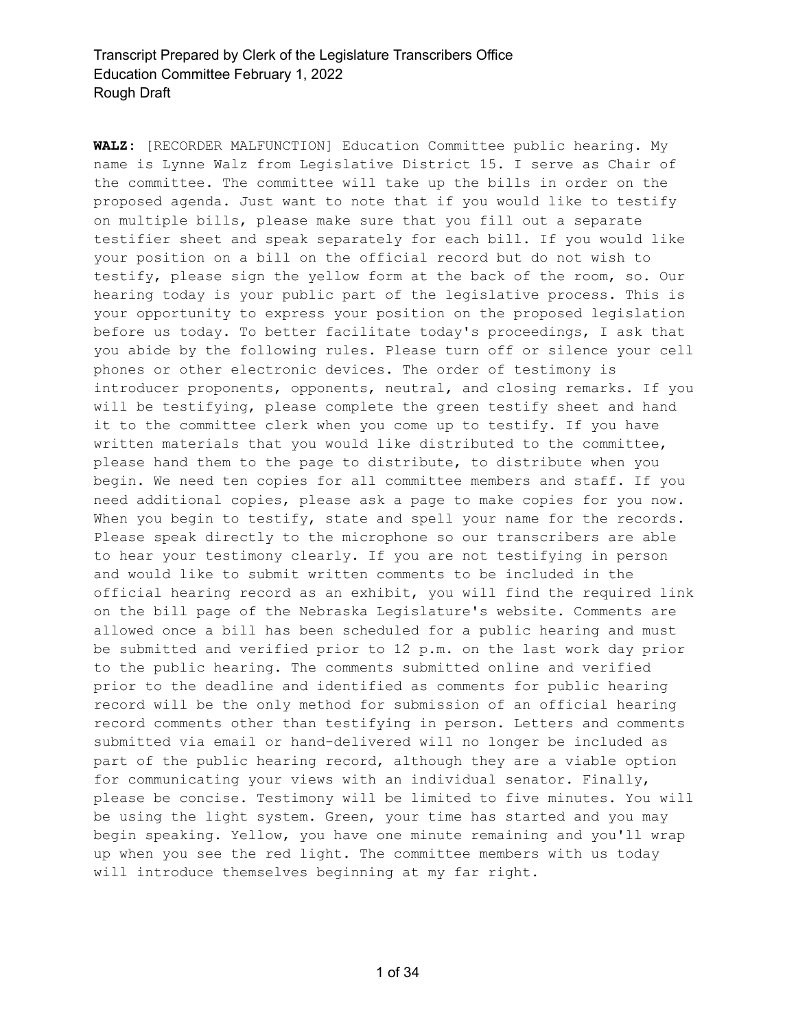**WALZ:** [RECORDER MALFUNCTION] Education Committee public hearing. My name is Lynne Walz from Legislative District 15. I serve as Chair of the committee. The committee will take up the bills in order on the proposed agenda. Just want to note that if you would like to testify on multiple bills, please make sure that you fill out a separate testifier sheet and speak separately for each bill. If you would like your position on a bill on the official record but do not wish to testify, please sign the yellow form at the back of the room, so. Our hearing today is your public part of the legislative process. This is your opportunity to express your position on the proposed legislation before us today. To better facilitate today's proceedings, I ask that you abide by the following rules. Please turn off or silence your cell phones or other electronic devices. The order of testimony is introducer proponents, opponents, neutral, and closing remarks. If you will be testifying, please complete the green testify sheet and hand it to the committee clerk when you come up to testify. If you have written materials that you would like distributed to the committee, please hand them to the page to distribute, to distribute when you begin. We need ten copies for all committee members and staff. If you need additional copies, please ask a page to make copies for you now. When you begin to testify, state and spell your name for the records. Please speak directly to the microphone so our transcribers are able to hear your testimony clearly. If you are not testifying in person and would like to submit written comments to be included in the official hearing record as an exhibit, you will find the required link on the bill page of the Nebraska Legislature's website. Comments are allowed once a bill has been scheduled for a public hearing and must be submitted and verified prior to 12 p.m. on the last work day prior to the public hearing. The comments submitted online and verified prior to the deadline and identified as comments for public hearing record will be the only method for submission of an official hearing record comments other than testifying in person. Letters and comments submitted via email or hand-delivered will no longer be included as part of the public hearing record, although they are a viable option for communicating your views with an individual senator. Finally, please be concise. Testimony will be limited to five minutes. You will be using the light system. Green, your time has started and you may begin speaking. Yellow, you have one minute remaining and you'll wrap up when you see the red light. The committee members with us today will introduce themselves beginning at my far right.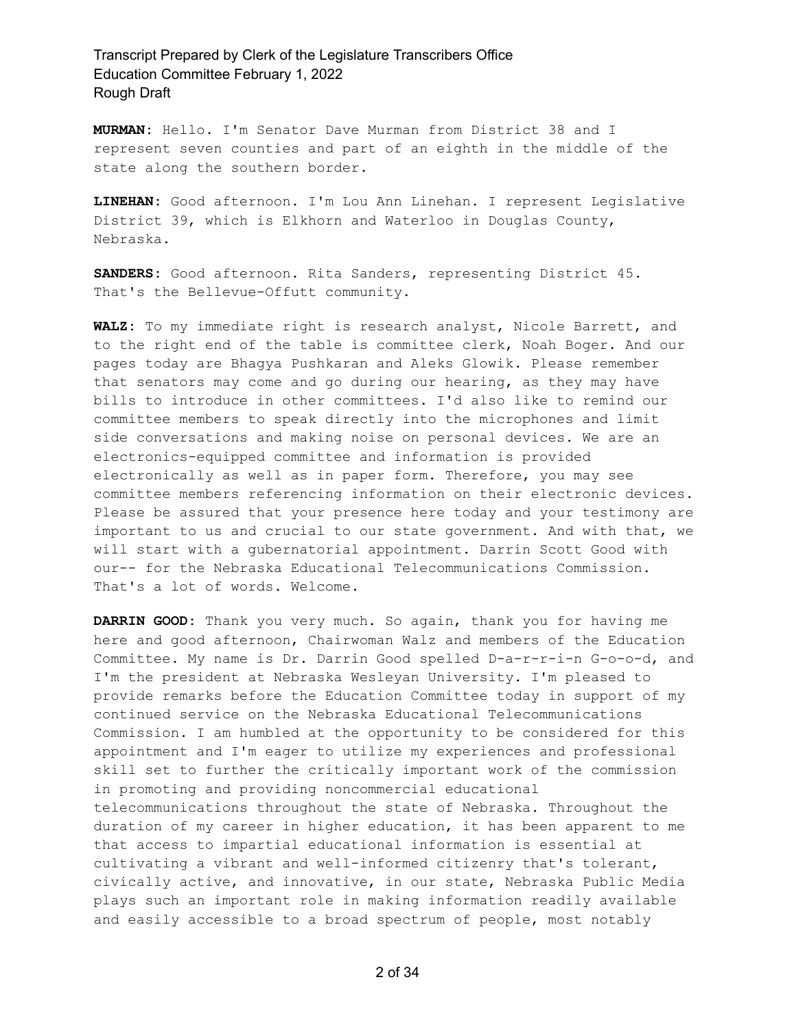**MURMAN:** Hello. I'm Senator Dave Murman from District 38 and I represent seven counties and part of an eighth in the middle of the state along the southern border.

**LINEHAN:** Good afternoon. I'm Lou Ann Linehan. I represent Legislative District 39, which is Elkhorn and Waterloo in Douglas County, Nebraska.

**SANDERS:** Good afternoon. Rita Sanders, representing District 45. That's the Bellevue-Offutt community.

**WALZ:** To my immediate right is research analyst, Nicole Barrett, and to the right end of the table is committee clerk, Noah Boger. And our pages today are Bhagya Pushkaran and Aleks Glowik. Please remember that senators may come and go during our hearing, as they may have bills to introduce in other committees. I'd also like to remind our committee members to speak directly into the microphones and limit side conversations and making noise on personal devices. We are an electronics-equipped committee and information is provided electronically as well as in paper form. Therefore, you may see committee members referencing information on their electronic devices. Please be assured that your presence here today and your testimony are important to us and crucial to our state government. And with that, we will start with a gubernatorial appointment. Darrin Scott Good with our-- for the Nebraska Educational Telecommunications Commission. That's a lot of words. Welcome.

**DARRIN GOOD:** Thank you very much. So again, thank you for having me here and good afternoon, Chairwoman Walz and members of the Education Committee. My name is Dr. Darrin Good spelled D-a-r-r-i-n G-o-o-d, and I'm the president at Nebraska Wesleyan University. I'm pleased to provide remarks before the Education Committee today in support of my continued service on the Nebraska Educational Telecommunications Commission. I am humbled at the opportunity to be considered for this appointment and I'm eager to utilize my experiences and professional skill set to further the critically important work of the commission in promoting and providing noncommercial educational telecommunications throughout the state of Nebraska. Throughout the duration of my career in higher education, it has been apparent to me that access to impartial educational information is essential at cultivating a vibrant and well-informed citizenry that's tolerant, civically active, and innovative, in our state, Nebraska Public Media plays such an important role in making information readily available and easily accessible to a broad spectrum of people, most notably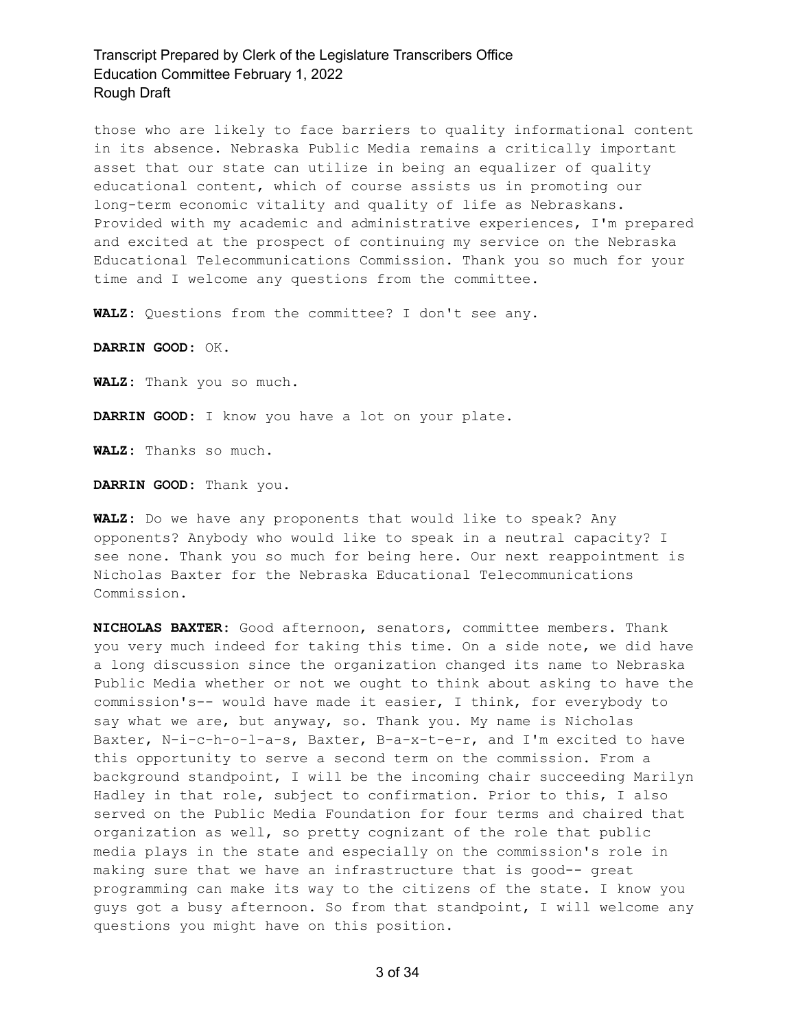those who are likely to face barriers to quality informational content in its absence. Nebraska Public Media remains a critically important asset that our state can utilize in being an equalizer of quality educational content, which of course assists us in promoting our long-term economic vitality and quality of life as Nebraskans. Provided with my academic and administrative experiences, I'm prepared and excited at the prospect of continuing my service on the Nebraska Educational Telecommunications Commission. Thank you so much for your time and I welcome any questions from the committee.

**WALZ:** Questions from the committee? I don't see any.

**DARRIN GOOD:** OK.

**WALZ:** Thank you so much.

**DARRIN GOOD:** I know you have a lot on your plate.

**WALZ:** Thanks so much.

**DARRIN GOOD:** Thank you.

**WALZ:** Do we have any proponents that would like to speak? Any opponents? Anybody who would like to speak in a neutral capacity? I see none. Thank you so much for being here. Our next reappointment is Nicholas Baxter for the Nebraska Educational Telecommunications Commission.

**NICHOLAS BAXTER:** Good afternoon, senators, committee members. Thank you very much indeed for taking this time. On a side note, we did have a long discussion since the organization changed its name to Nebraska Public Media whether or not we ought to think about asking to have the commission's-- would have made it easier, I think, for everybody to say what we are, but anyway, so. Thank you. My name is Nicholas Baxter, N-i-c-h-o-l-a-s, Baxter, B-a-x-t-e-r, and I'm excited to have this opportunity to serve a second term on the commission. From a background standpoint, I will be the incoming chair succeeding Marilyn Hadley in that role, subject to confirmation. Prior to this, I also served on the Public Media Foundation for four terms and chaired that organization as well, so pretty cognizant of the role that public media plays in the state and especially on the commission's role in making sure that we have an infrastructure that is good-- great programming can make its way to the citizens of the state. I know you guys got a busy afternoon. So from that standpoint, I will welcome any questions you might have on this position.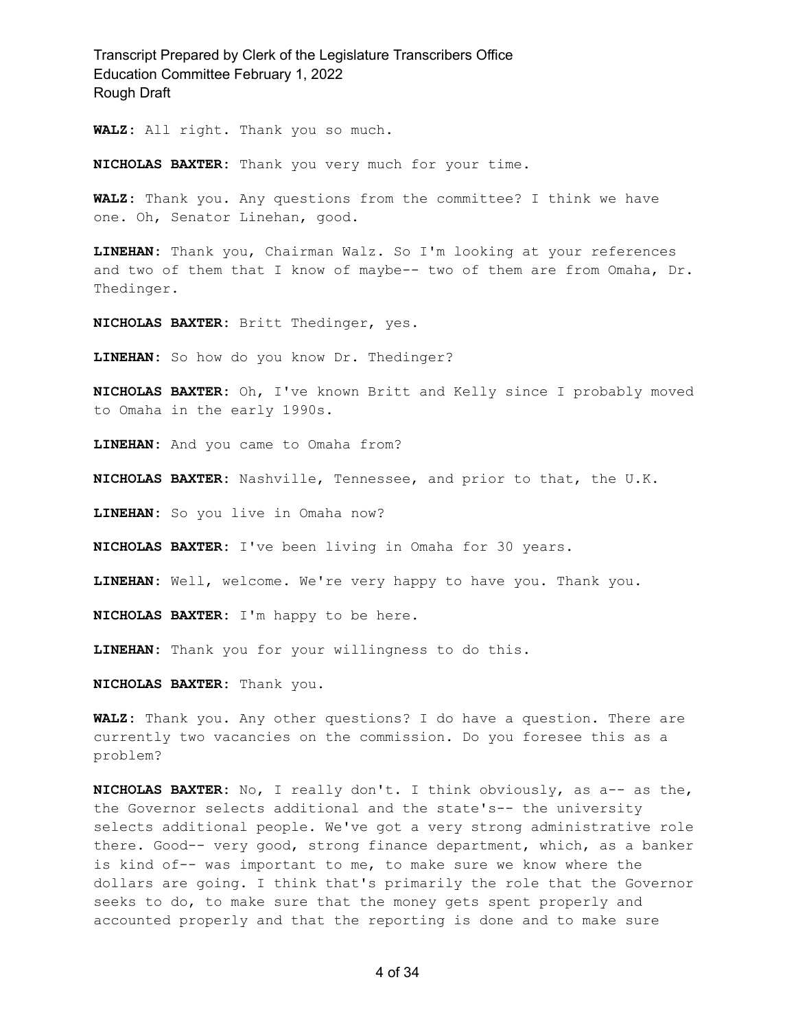**WALZ:** All right. Thank you so much.

**NICHOLAS BAXTER:** Thank you very much for your time.

**WALZ:** Thank you. Any questions from the committee? I think we have one. Oh, Senator Linehan, good.

**LINEHAN:** Thank you, Chairman Walz. So I'm looking at your references and two of them that I know of maybe-- two of them are from Omaha, Dr. Thedinger.

**NICHOLAS BAXTER:** Britt Thedinger, yes.

**LINEHAN:** So how do you know Dr. Thedinger?

**NICHOLAS BAXTER:** Oh, I've known Britt and Kelly since I probably moved to Omaha in the early 1990s.

**LINEHAN:** And you came to Omaha from?

**NICHOLAS BAXTER:** Nashville, Tennessee, and prior to that, the U.K.

**LINEHAN:** So you live in Omaha now?

**NICHOLAS BAXTER:** I've been living in Omaha for 30 years.

**LINEHAN:** Well, welcome. We're very happy to have you. Thank you.

**NICHOLAS BAXTER:** I'm happy to be here.

**LINEHAN:** Thank you for your willingness to do this.

**NICHOLAS BAXTER:** Thank you.

**WALZ:** Thank you. Any other questions? I do have a question. There are currently two vacancies on the commission. Do you foresee this as a problem?

**NICHOLAS BAXTER:** No, I really don't. I think obviously, as a-- as the, the Governor selects additional and the state's-- the university selects additional people. We've got a very strong administrative role there. Good-- very good, strong finance department, which, as a banker is kind of-- was important to me, to make sure we know where the dollars are going. I think that's primarily the role that the Governor seeks to do, to make sure that the money gets spent properly and accounted properly and that the reporting is done and to make sure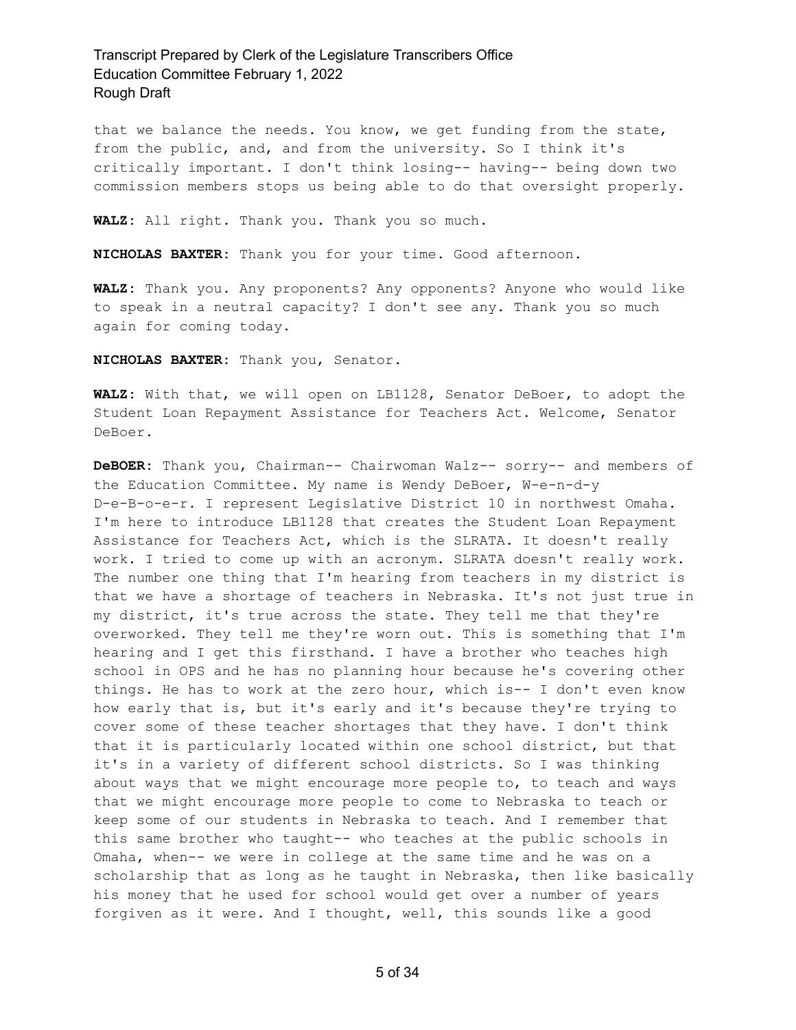that we balance the needs. You know, we get funding from the state, from the public, and, and from the university. So I think it's critically important. I don't think losing-- having-- being down two commission members stops us being able to do that oversight properly.

**WALZ:** All right. Thank you. Thank you so much.

**NICHOLAS BAXTER:** Thank you for your time. Good afternoon.

**WALZ:** Thank you. Any proponents? Any opponents? Anyone who would like to speak in a neutral capacity? I don't see any. Thank you so much again for coming today.

**NICHOLAS BAXTER:** Thank you, Senator.

**WALZ:** With that, we will open on LB1128, Senator DeBoer, to adopt the Student Loan Repayment Assistance for Teachers Act. Welcome, Senator DeBoer.

**DeBOER:** Thank you, Chairman-- Chairwoman Walz-- sorry-- and members of the Education Committee. My name is Wendy DeBoer, W-e-n-d-y D-e-B-o-e-r. I represent Legislative District 10 in northwest Omaha. I'm here to introduce LB1128 that creates the Student Loan Repayment Assistance for Teachers Act, which is the SLRATA. It doesn't really work. I tried to come up with an acronym. SLRATA doesn't really work. The number one thing that I'm hearing from teachers in my district is that we have a shortage of teachers in Nebraska. It's not just true in my district, it's true across the state. They tell me that they're overworked. They tell me they're worn out. This is something that I'm hearing and I get this firsthand. I have a brother who teaches high school in OPS and he has no planning hour because he's covering other things. He has to work at the zero hour, which is-- I don't even know how early that is, but it's early and it's because they're trying to cover some of these teacher shortages that they have. I don't think that it is particularly located within one school district, but that it's in a variety of different school districts. So I was thinking about ways that we might encourage more people to, to teach and ways that we might encourage more people to come to Nebraska to teach or keep some of our students in Nebraska to teach. And I remember that this same brother who taught-- who teaches at the public schools in Omaha, when-- we were in college at the same time and he was on a scholarship that as long as he taught in Nebraska, then like basically his money that he used for school would get over a number of years forgiven as it were. And I thought, well, this sounds like a good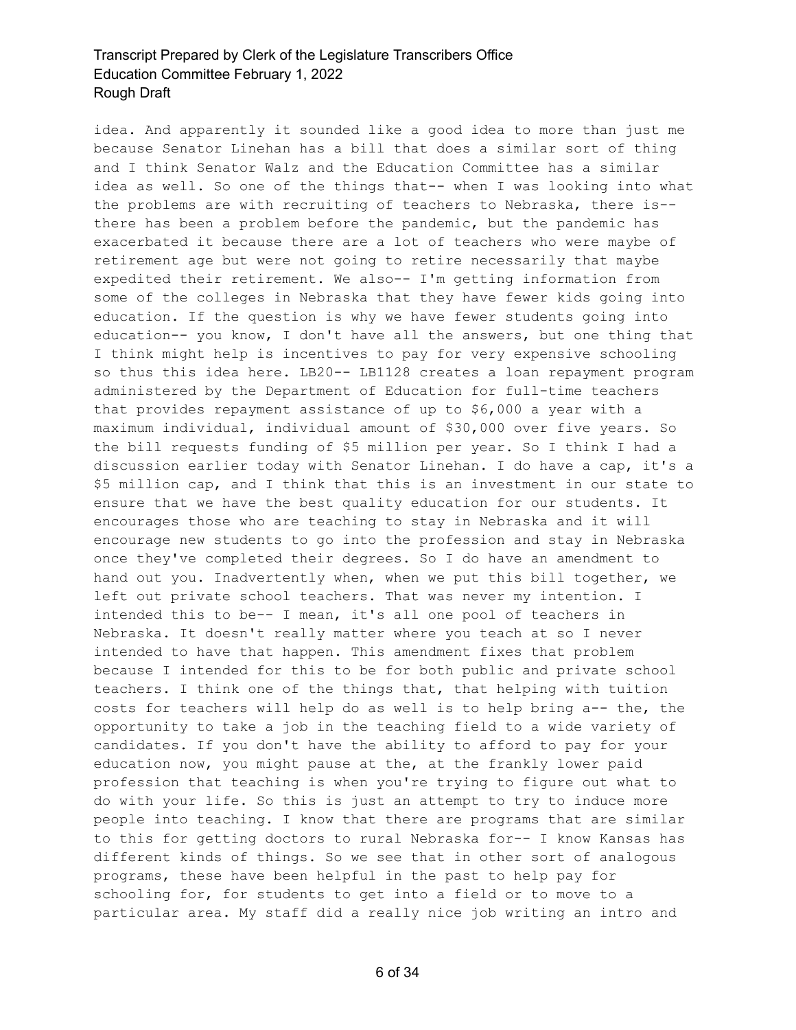idea. And apparently it sounded like a good idea to more than just me because Senator Linehan has a bill that does a similar sort of thing and I think Senator Walz and the Education Committee has a similar idea as well. So one of the things that-- when I was looking into what the problems are with recruiting of teachers to Nebraska, there is- there has been a problem before the pandemic, but the pandemic has exacerbated it because there are a lot of teachers who were maybe of retirement age but were not going to retire necessarily that maybe expedited their retirement. We also-- I'm getting information from some of the colleges in Nebraska that they have fewer kids going into education. If the question is why we have fewer students going into education-- you know, I don't have all the answers, but one thing that I think might help is incentives to pay for very expensive schooling so thus this idea here. LB20-- LB1128 creates a loan repayment program administered by the Department of Education for full-time teachers that provides repayment assistance of up to \$6,000 a year with a maximum individual, individual amount of \$30,000 over five years. So the bill requests funding of \$5 million per year. So I think I had a discussion earlier today with Senator Linehan. I do have a cap, it's a \$5 million cap, and I think that this is an investment in our state to ensure that we have the best quality education for our students. It encourages those who are teaching to stay in Nebraska and it will encourage new students to go into the profession and stay in Nebraska once they've completed their degrees. So I do have an amendment to hand out you. Inadvertently when, when we put this bill together, we left out private school teachers. That was never my intention. I intended this to be-- I mean, it's all one pool of teachers in Nebraska. It doesn't really matter where you teach at so I never intended to have that happen. This amendment fixes that problem because I intended for this to be for both public and private school teachers. I think one of the things that, that helping with tuition costs for teachers will help do as well is to help bring a-- the, the opportunity to take a job in the teaching field to a wide variety of candidates. If you don't have the ability to afford to pay for your education now, you might pause at the, at the frankly lower paid profession that teaching is when you're trying to figure out what to do with your life. So this is just an attempt to try to induce more people into teaching. I know that there are programs that are similar to this for getting doctors to rural Nebraska for-- I know Kansas has different kinds of things. So we see that in other sort of analogous programs, these have been helpful in the past to help pay for schooling for, for students to get into a field or to move to a particular area. My staff did a really nice job writing an intro and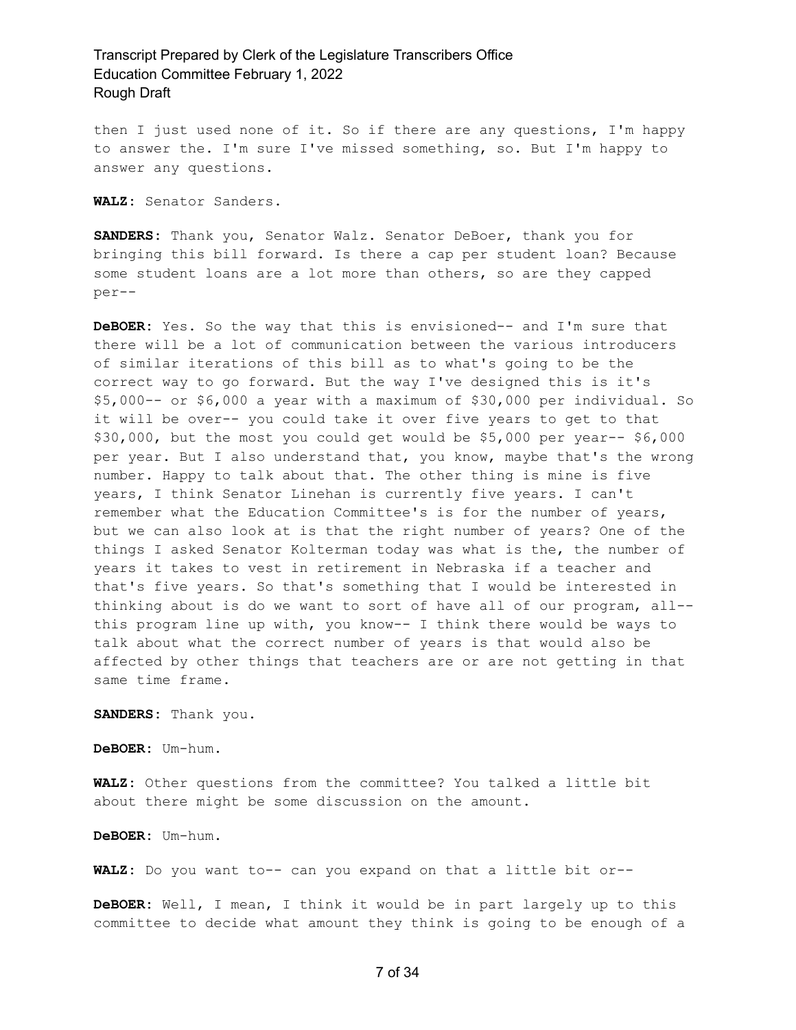then I just used none of it. So if there are any questions, I'm happy to answer the. I'm sure I've missed something, so. But I'm happy to answer any questions.

**WALZ:** Senator Sanders.

**SANDERS:** Thank you, Senator Walz. Senator DeBoer, thank you for bringing this bill forward. Is there a cap per student loan? Because some student loans are a lot more than others, so are they capped per--

**DeBOER:** Yes. So the way that this is envisioned-- and I'm sure that there will be a lot of communication between the various introducers of similar iterations of this bill as to what's going to be the correct way to go forward. But the way I've designed this is it's \$5,000-- or \$6,000 a year with a maximum of \$30,000 per individual. So it will be over-- you could take it over five years to get to that \$30,000, but the most you could get would be \$5,000 per year-- \$6,000 per year. But I also understand that, you know, maybe that's the wrong number. Happy to talk about that. The other thing is mine is five years, I think Senator Linehan is currently five years. I can't remember what the Education Committee's is for the number of years, but we can also look at is that the right number of years? One of the things I asked Senator Kolterman today was what is the, the number of years it takes to vest in retirement in Nebraska if a teacher and that's five years. So that's something that I would be interested in thinking about is do we want to sort of have all of our program, all- this program line up with, you know-- I think there would be ways to talk about what the correct number of years is that would also be affected by other things that teachers are or are not getting in that same time frame.

**SANDERS:** Thank you.

**DeBOER:** Um-hum.

**WALZ:** Other questions from the committee? You talked a little bit about there might be some discussion on the amount.

**DeBOER:** Um-hum.

**WALZ:** Do you want to-- can you expand on that a little bit or--

**DeBOER:** Well, I mean, I think it would be in part largely up to this committee to decide what amount they think is going to be enough of a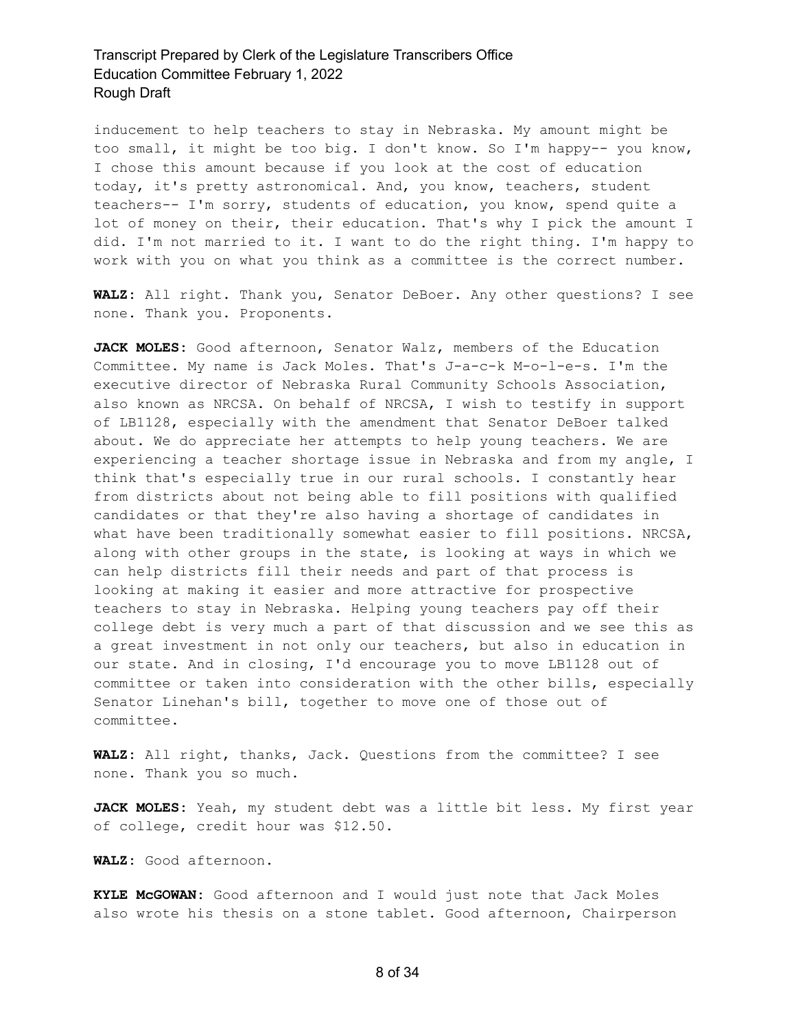inducement to help teachers to stay in Nebraska. My amount might be too small, it might be too big. I don't know. So I'm happy-- you know, I chose this amount because if you look at the cost of education today, it's pretty astronomical. And, you know, teachers, student teachers-- I'm sorry, students of education, you know, spend quite a lot of money on their, their education. That's why I pick the amount I did. I'm not married to it. I want to do the right thing. I'm happy to work with you on what you think as a committee is the correct number.

**WALZ:** All right. Thank you, Senator DeBoer. Any other questions? I see none. Thank you. Proponents.

**JACK MOLES:** Good afternoon, Senator Walz, members of the Education Committee. My name is Jack Moles. That's J-a-c-k M-o-l-e-s. I'm the executive director of Nebraska Rural Community Schools Association, also known as NRCSA. On behalf of NRCSA, I wish to testify in support of LB1128, especially with the amendment that Senator DeBoer talked about. We do appreciate her attempts to help young teachers. We are experiencing a teacher shortage issue in Nebraska and from my angle, I think that's especially true in our rural schools. I constantly hear from districts about not being able to fill positions with qualified candidates or that they're also having a shortage of candidates in what have been traditionally somewhat easier to fill positions. NRCSA, along with other groups in the state, is looking at ways in which we can help districts fill their needs and part of that process is looking at making it easier and more attractive for prospective teachers to stay in Nebraska. Helping young teachers pay off their college debt is very much a part of that discussion and we see this as a great investment in not only our teachers, but also in education in our state. And in closing, I'd encourage you to move LB1128 out of committee or taken into consideration with the other bills, especially Senator Linehan's bill, together to move one of those out of committee.

**WALZ:** All right, thanks, Jack. Questions from the committee? I see none. Thank you so much.

**JACK MOLES:** Yeah, my student debt was a little bit less. My first year of college, credit hour was \$12.50.

**WALZ:** Good afternoon.

**KYLE McGOWAN:** Good afternoon and I would just note that Jack Moles also wrote his thesis on a stone tablet. Good afternoon, Chairperson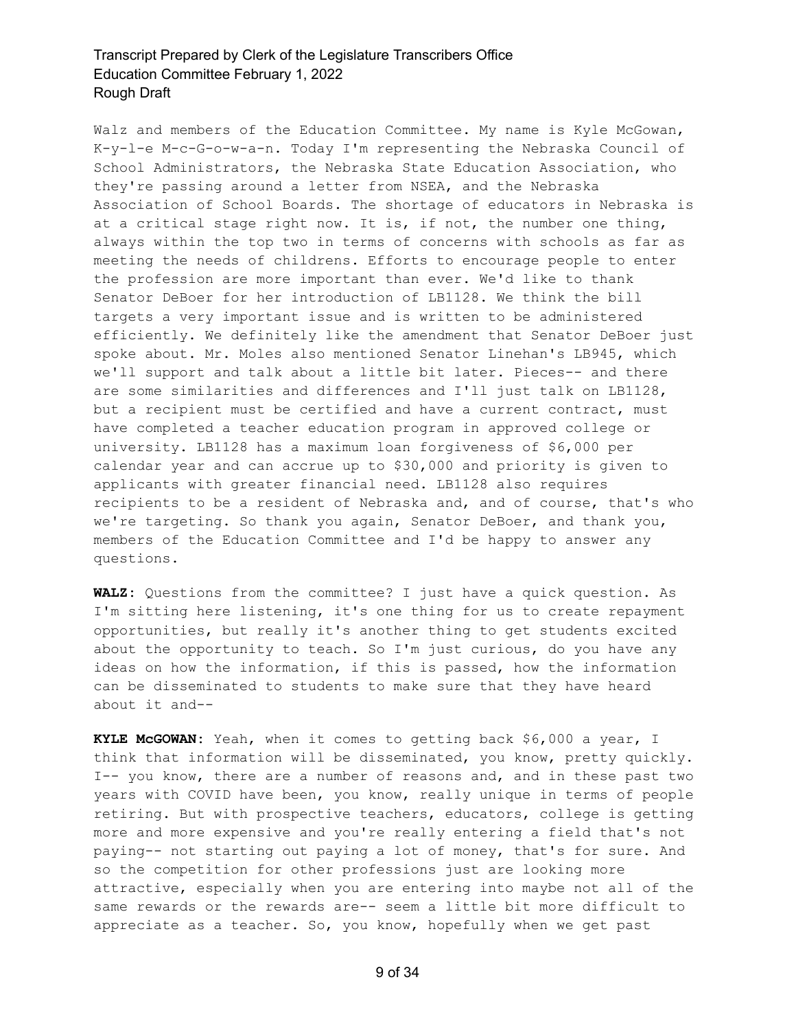Walz and members of the Education Committee. My name is Kyle McGowan, K-y-l-e M-c-G-o-w-a-n. Today I'm representing the Nebraska Council of School Administrators, the Nebraska State Education Association, who they're passing around a letter from NSEA, and the Nebraska Association of School Boards. The shortage of educators in Nebraska is at a critical stage right now. It is, if not, the number one thing, always within the top two in terms of concerns with schools as far as meeting the needs of childrens. Efforts to encourage people to enter the profession are more important than ever. We'd like to thank Senator DeBoer for her introduction of LB1128. We think the bill targets a very important issue and is written to be administered efficiently. We definitely like the amendment that Senator DeBoer just spoke about. Mr. Moles also mentioned Senator Linehan's LB945, which we'll support and talk about a little bit later. Pieces-- and there are some similarities and differences and I'll just talk on LB1128, but a recipient must be certified and have a current contract, must have completed a teacher education program in approved college or university. LB1128 has a maximum loan forgiveness of \$6,000 per calendar year and can accrue up to \$30,000 and priority is given to applicants with greater financial need. LB1128 also requires recipients to be a resident of Nebraska and, and of course, that's who we're targeting. So thank you again, Senator DeBoer, and thank you, members of the Education Committee and I'd be happy to answer any questions.

**WALZ:** Questions from the committee? I just have a quick question. As I'm sitting here listening, it's one thing for us to create repayment opportunities, but really it's another thing to get students excited about the opportunity to teach. So I'm just curious, do you have any ideas on how the information, if this is passed, how the information can be disseminated to students to make sure that they have heard about it and--

**KYLE McGOWAN:** Yeah, when it comes to getting back \$6,000 a year, I think that information will be disseminated, you know, pretty quickly. I-- you know, there are a number of reasons and, and in these past two years with COVID have been, you know, really unique in terms of people retiring. But with prospective teachers, educators, college is getting more and more expensive and you're really entering a field that's not paying-- not starting out paying a lot of money, that's for sure. And so the competition for other professions just are looking more attractive, especially when you are entering into maybe not all of the same rewards or the rewards are-- seem a little bit more difficult to appreciate as a teacher. So, you know, hopefully when we get past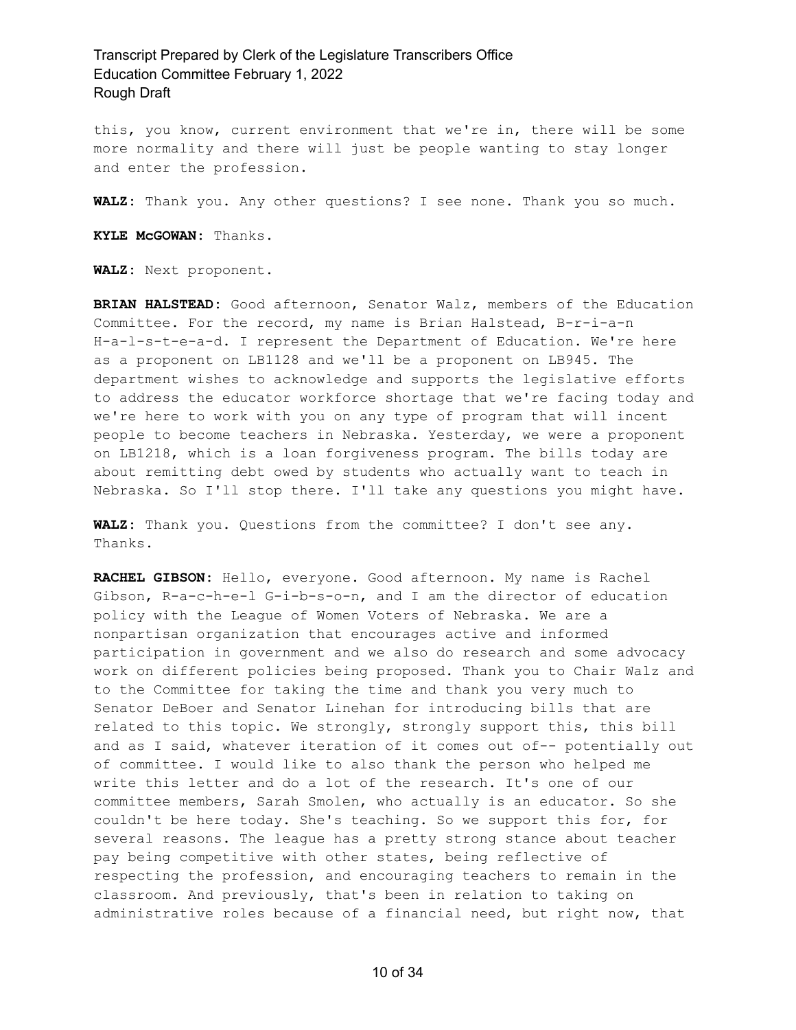this, you know, current environment that we're in, there will be some more normality and there will just be people wanting to stay longer and enter the profession.

**WALZ:** Thank you. Any other questions? I see none. Thank you so much.

**KYLE McGOWAN:** Thanks.

**WALZ:** Next proponent.

**BRIAN HALSTEAD:** Good afternoon, Senator Walz, members of the Education Committee. For the record, my name is Brian Halstead, B-r-i-a-n H-a-l-s-t-e-a-d. I represent the Department of Education. We're here as a proponent on LB1128 and we'll be a proponent on LB945. The department wishes to acknowledge and supports the legislative efforts to address the educator workforce shortage that we're facing today and we're here to work with you on any type of program that will incent people to become teachers in Nebraska. Yesterday, we were a proponent on LB1218, which is a loan forgiveness program. The bills today are about remitting debt owed by students who actually want to teach in Nebraska. So I'll stop there. I'll take any questions you might have.

**WALZ:** Thank you. Questions from the committee? I don't see any. Thanks.

**RACHEL GIBSON:** Hello, everyone. Good afternoon. My name is Rachel Gibson, R-a-c-h-e-l G-i-b-s-o-n, and I am the director of education policy with the League of Women Voters of Nebraska. We are a nonpartisan organization that encourages active and informed participation in government and we also do research and some advocacy work on different policies being proposed. Thank you to Chair Walz and to the Committee for taking the time and thank you very much to Senator DeBoer and Senator Linehan for introducing bills that are related to this topic. We strongly, strongly support this, this bill and as I said, whatever iteration of it comes out of-- potentially out of committee. I would like to also thank the person who helped me write this letter and do a lot of the research. It's one of our committee members, Sarah Smolen, who actually is an educator. So she couldn't be here today. She's teaching. So we support this for, for several reasons. The league has a pretty strong stance about teacher pay being competitive with other states, being reflective of respecting the profession, and encouraging teachers to remain in the classroom. And previously, that's been in relation to taking on administrative roles because of a financial need, but right now, that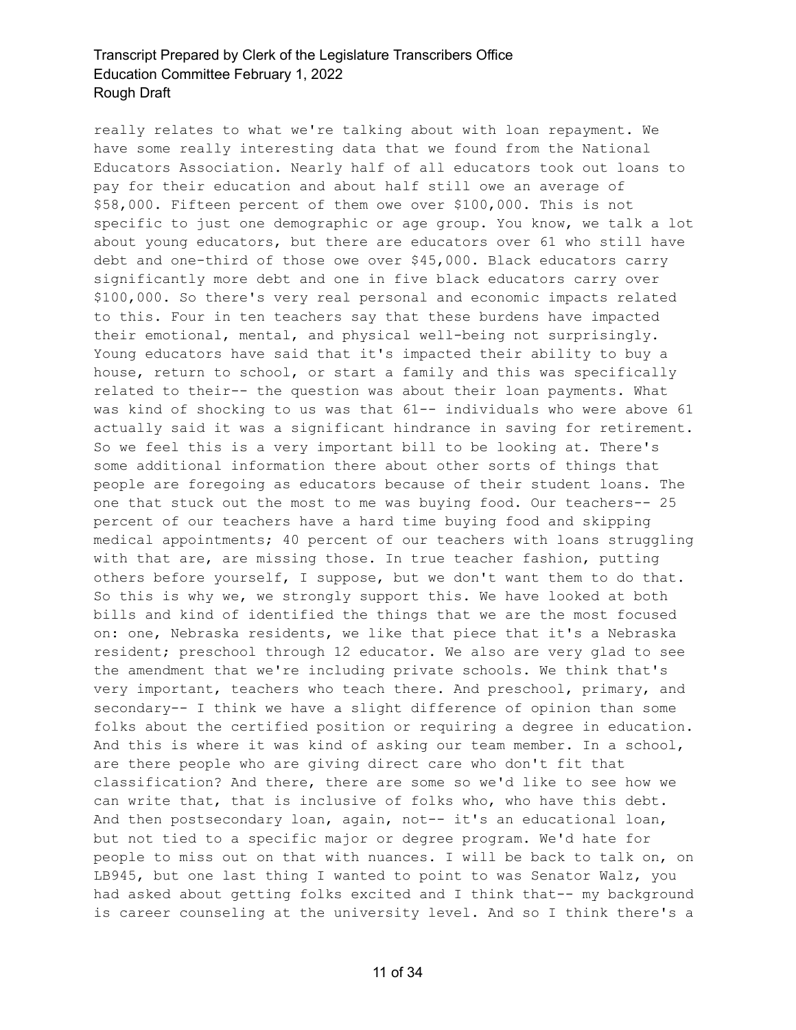really relates to what we're talking about with loan repayment. We have some really interesting data that we found from the National Educators Association. Nearly half of all educators took out loans to pay for their education and about half still owe an average of \$58,000. Fifteen percent of them owe over \$100,000. This is not specific to just one demographic or age group. You know, we talk a lot about young educators, but there are educators over 61 who still have debt and one-third of those owe over \$45,000. Black educators carry significantly more debt and one in five black educators carry over \$100,000. So there's very real personal and economic impacts related to this. Four in ten teachers say that these burdens have impacted their emotional, mental, and physical well-being not surprisingly. Young educators have said that it's impacted their ability to buy a house, return to school, or start a family and this was specifically related to their-- the question was about their loan payments. What was kind of shocking to us was that 61-- individuals who were above 61 actually said it was a significant hindrance in saving for retirement. So we feel this is a very important bill to be looking at. There's some additional information there about other sorts of things that people are foregoing as educators because of their student loans. The one that stuck out the most to me was buying food. Our teachers-- 25 percent of our teachers have a hard time buying food and skipping medical appointments; 40 percent of our teachers with loans struggling with that are, are missing those. In true teacher fashion, putting others before yourself, I suppose, but we don't want them to do that. So this is why we, we strongly support this. We have looked at both bills and kind of identified the things that we are the most focused on: one, Nebraska residents, we like that piece that it's a Nebraska resident; preschool through 12 educator. We also are very glad to see the amendment that we're including private schools. We think that's very important, teachers who teach there. And preschool, primary, and secondary-- I think we have a slight difference of opinion than some folks about the certified position or requiring a degree in education. And this is where it was kind of asking our team member. In a school, are there people who are giving direct care who don't fit that classification? And there, there are some so we'd like to see how we can write that, that is inclusive of folks who, who have this debt. And then postsecondary loan, again, not-- it's an educational loan, but not tied to a specific major or degree program. We'd hate for people to miss out on that with nuances. I will be back to talk on, on LB945, but one last thing I wanted to point to was Senator Walz, you had asked about getting folks excited and I think that-- my background is career counseling at the university level. And so I think there's a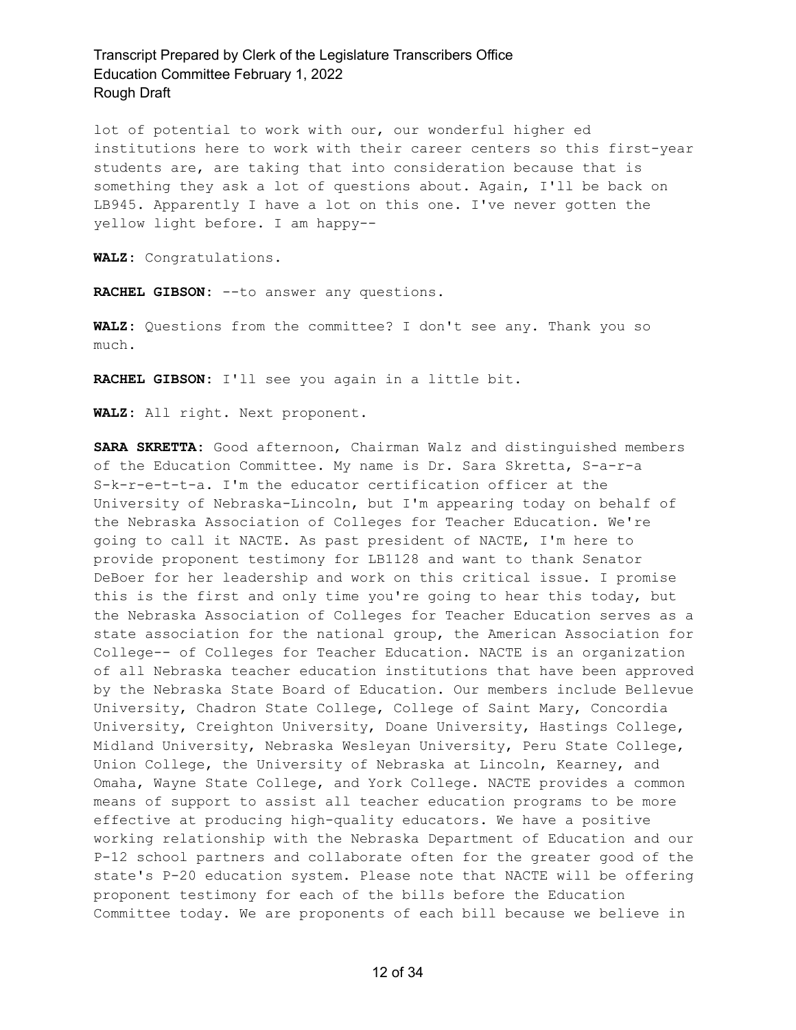lot of potential to work with our, our wonderful higher ed institutions here to work with their career centers so this first-year students are, are taking that into consideration because that is something they ask a lot of questions about. Again, I'll be back on LB945. Apparently I have a lot on this one. I've never gotten the yellow light before. I am happy--

**WALZ:** Congratulations.

**RACHEL GIBSON:** --to answer any questions.

**WALZ:** Questions from the committee? I don't see any. Thank you so much.

**RACHEL GIBSON:** I'll see you again in a little bit.

**WALZ:** All right. Next proponent.

**SARA SKRETTA:** Good afternoon, Chairman Walz and distinguished members of the Education Committee. My name is Dr. Sara Skretta, S-a-r-a S-k-r-e-t-t-a. I'm the educator certification officer at the University of Nebraska-Lincoln, but I'm appearing today on behalf of the Nebraska Association of Colleges for Teacher Education. We're going to call it NACTE. As past president of NACTE, I'm here to provide proponent testimony for LB1128 and want to thank Senator DeBoer for her leadership and work on this critical issue. I promise this is the first and only time you're going to hear this today, but the Nebraska Association of Colleges for Teacher Education serves as a state association for the national group, the American Association for College-- of Colleges for Teacher Education. NACTE is an organization of all Nebraska teacher education institutions that have been approved by the Nebraska State Board of Education. Our members include Bellevue University, Chadron State College, College of Saint Mary, Concordia University, Creighton University, Doane University, Hastings College, Midland University, Nebraska Wesleyan University, Peru State College, Union College, the University of Nebraska at Lincoln, Kearney, and Omaha, Wayne State College, and York College. NACTE provides a common means of support to assist all teacher education programs to be more effective at producing high-quality educators. We have a positive working relationship with the Nebraska Department of Education and our P-12 school partners and collaborate often for the greater good of the state's P-20 education system. Please note that NACTE will be offering proponent testimony for each of the bills before the Education Committee today. We are proponents of each bill because we believe in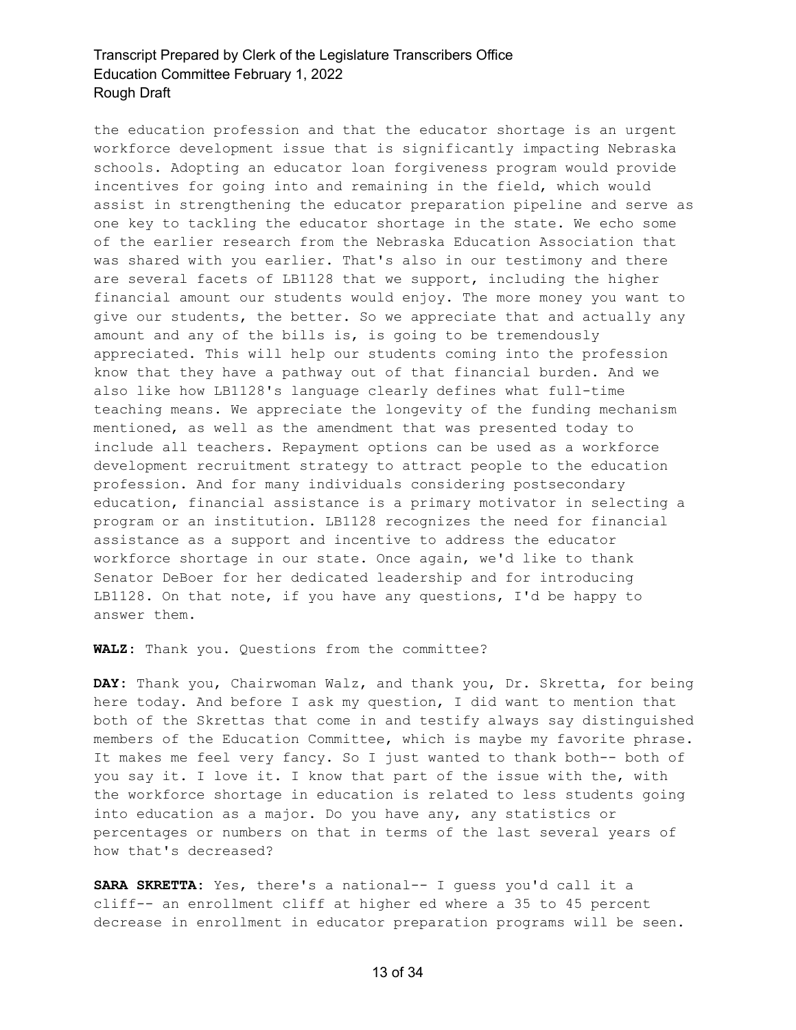the education profession and that the educator shortage is an urgent workforce development issue that is significantly impacting Nebraska schools. Adopting an educator loan forgiveness program would provide incentives for going into and remaining in the field, which would assist in strengthening the educator preparation pipeline and serve as one key to tackling the educator shortage in the state. We echo some of the earlier research from the Nebraska Education Association that was shared with you earlier. That's also in our testimony and there are several facets of LB1128 that we support, including the higher financial amount our students would enjoy. The more money you want to give our students, the better. So we appreciate that and actually any amount and any of the bills is, is going to be tremendously appreciated. This will help our students coming into the profession know that they have a pathway out of that financial burden. And we also like how LB1128's language clearly defines what full-time teaching means. We appreciate the longevity of the funding mechanism mentioned, as well as the amendment that was presented today to include all teachers. Repayment options can be used as a workforce development recruitment strategy to attract people to the education profession. And for many individuals considering postsecondary education, financial assistance is a primary motivator in selecting a program or an institution. LB1128 recognizes the need for financial assistance as a support and incentive to address the educator workforce shortage in our state. Once again, we'd like to thank Senator DeBoer for her dedicated leadership and for introducing LB1128. On that note, if you have any questions, I'd be happy to answer them.

**WALZ:** Thank you. Questions from the committee?

**DAY:** Thank you, Chairwoman Walz, and thank you, Dr. Skretta, for being here today. And before I ask my question, I did want to mention that both of the Skrettas that come in and testify always say distinguished members of the Education Committee, which is maybe my favorite phrase. It makes me feel very fancy. So I just wanted to thank both-- both of you say it. I love it. I know that part of the issue with the, with the workforce shortage in education is related to less students going into education as a major. Do you have any, any statistics or percentages or numbers on that in terms of the last several years of how that's decreased?

**SARA SKRETTA:** Yes, there's a national-- I guess you'd call it a cliff-- an enrollment cliff at higher ed where a 35 to 45 percent decrease in enrollment in educator preparation programs will be seen.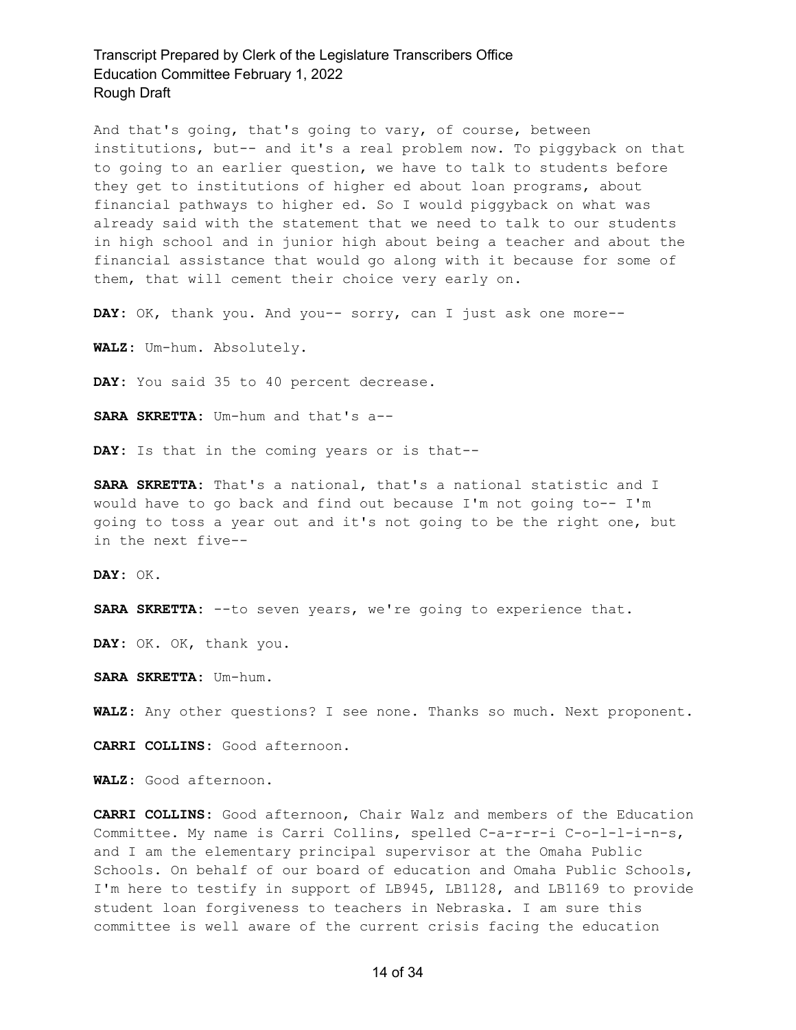And that's going, that's going to vary, of course, between institutions, but-- and it's a real problem now. To piggyback on that to going to an earlier question, we have to talk to students before they get to institutions of higher ed about loan programs, about financial pathways to higher ed. So I would piggyback on what was already said with the statement that we need to talk to our students in high school and in junior high about being a teacher and about the financial assistance that would go along with it because for some of them, that will cement their choice very early on.

**DAY:** OK, thank you. And you-- sorry, can I just ask one more--

**WALZ:** Um-hum. Absolutely.

DAY: You said 35 to 40 percent decrease.

**SARA SKRETTA:** Um-hum and that's a--

**DAY:** Is that in the coming years or is that--

**SARA SKRETTA:** That's a national, that's a national statistic and I would have to go back and find out because I'm not going to-- I'm going to toss a year out and it's not going to be the right one, but in the next five--

**DAY:** OK.

**SARA SKRETTA:** --to seven years, we're going to experience that.

**DAY:** OK. OK, thank you.

**SARA SKRETTA:** Um-hum.

**WALZ:** Any other questions? I see none. Thanks so much. Next proponent.

**CARRI COLLINS:** Good afternoon.

**WALZ:** Good afternoon.

**CARRI COLLINS:** Good afternoon, Chair Walz and members of the Education Committee. My name is Carri Collins, spelled C-a-r-r-i C-o-l-l-i-n-s, and I am the elementary principal supervisor at the Omaha Public Schools. On behalf of our board of education and Omaha Public Schools, I'm here to testify in support of LB945, LB1128, and LB1169 to provide student loan forgiveness to teachers in Nebraska. I am sure this committee is well aware of the current crisis facing the education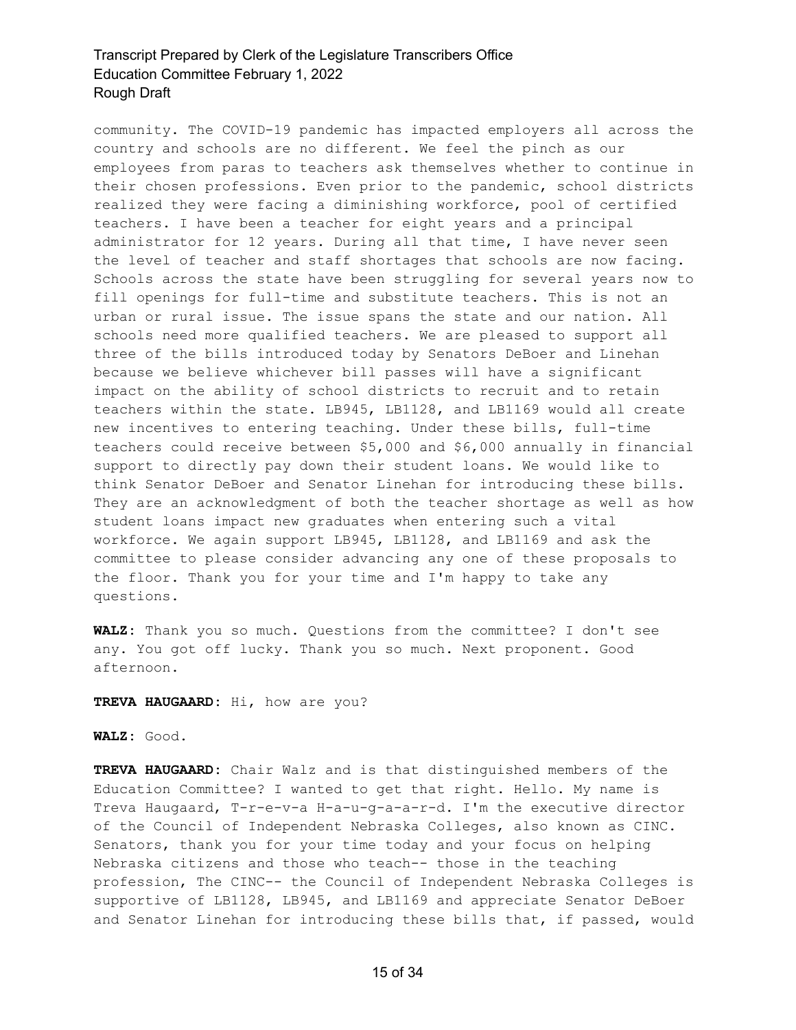community. The COVID-19 pandemic has impacted employers all across the country and schools are no different. We feel the pinch as our employees from paras to teachers ask themselves whether to continue in their chosen professions. Even prior to the pandemic, school districts realized they were facing a diminishing workforce, pool of certified teachers. I have been a teacher for eight years and a principal administrator for 12 years. During all that time, I have never seen the level of teacher and staff shortages that schools are now facing. Schools across the state have been struggling for several years now to fill openings for full-time and substitute teachers. This is not an urban or rural issue. The issue spans the state and our nation. All schools need more qualified teachers. We are pleased to support all three of the bills introduced today by Senators DeBoer and Linehan because we believe whichever bill passes will have a significant impact on the ability of school districts to recruit and to retain teachers within the state. LB945, LB1128, and LB1169 would all create new incentives to entering teaching. Under these bills, full-time teachers could receive between \$5,000 and \$6,000 annually in financial support to directly pay down their student loans. We would like to think Senator DeBoer and Senator Linehan for introducing these bills. They are an acknowledgment of both the teacher shortage as well as how student loans impact new graduates when entering such a vital workforce. We again support LB945, LB1128, and LB1169 and ask the committee to please consider advancing any one of these proposals to the floor. Thank you for your time and I'm happy to take any questions.

**WALZ:** Thank you so much. Questions from the committee? I don't see any. You got off lucky. Thank you so much. Next proponent. Good afternoon.

**TREVA HAUGAARD:** Hi, how are you?

**WALZ:** Good.

**TREVA HAUGAARD:** Chair Walz and is that distinguished members of the Education Committee? I wanted to get that right. Hello. My name is Treva Haugaard, T-r-e-v-a H-a-u-g-a-a-r-d. I'm the executive director of the Council of Independent Nebraska Colleges, also known as CINC. Senators, thank you for your time today and your focus on helping Nebraska citizens and those who teach-- those in the teaching profession, The CINC-- the Council of Independent Nebraska Colleges is supportive of LB1128, LB945, and LB1169 and appreciate Senator DeBoer and Senator Linehan for introducing these bills that, if passed, would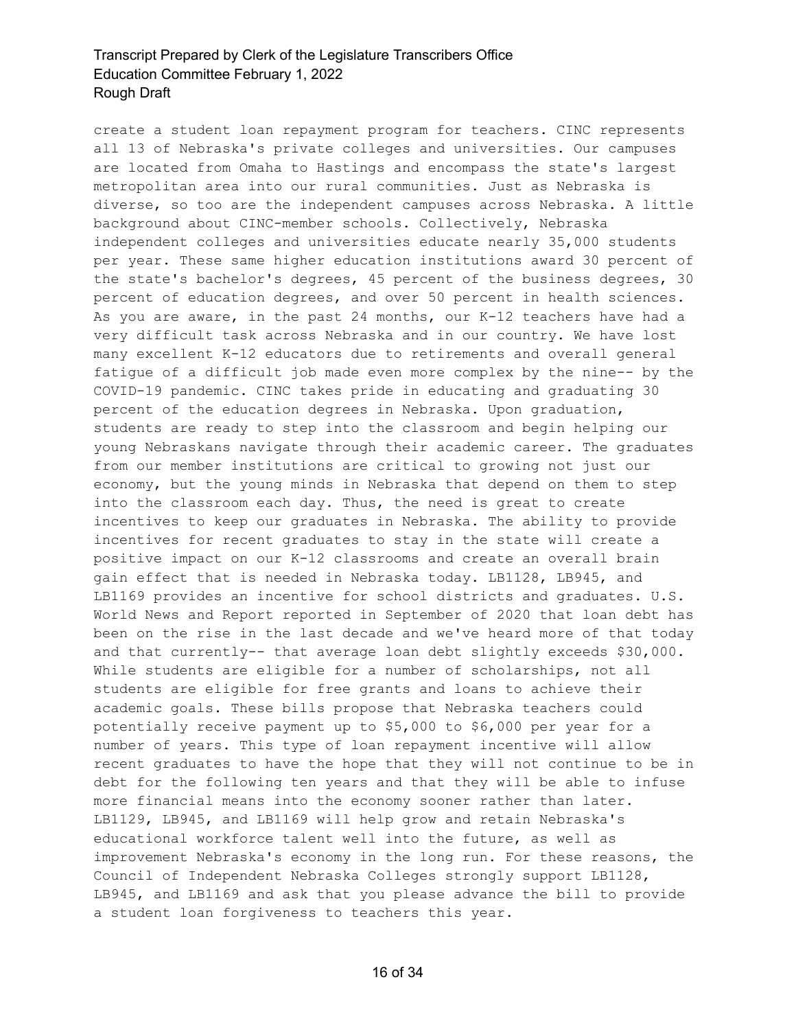create a student loan repayment program for teachers. CINC represents all 13 of Nebraska's private colleges and universities. Our campuses are located from Omaha to Hastings and encompass the state's largest metropolitan area into our rural communities. Just as Nebraska is diverse, so too are the independent campuses across Nebraska. A little background about CINC-member schools. Collectively, Nebraska independent colleges and universities educate nearly 35,000 students per year. These same higher education institutions award 30 percent of the state's bachelor's degrees, 45 percent of the business degrees, 30 percent of education degrees, and over 50 percent in health sciences. As you are aware, in the past 24 months, our K-12 teachers have had a very difficult task across Nebraska and in our country. We have lost many excellent K-12 educators due to retirements and overall general fatigue of a difficult job made even more complex by the nine-- by the COVID-19 pandemic. CINC takes pride in educating and graduating 30 percent of the education degrees in Nebraska. Upon graduation, students are ready to step into the classroom and begin helping our young Nebraskans navigate through their academic career. The graduates from our member institutions are critical to growing not just our economy, but the young minds in Nebraska that depend on them to step into the classroom each day. Thus, the need is great to create incentives to keep our graduates in Nebraska. The ability to provide incentives for recent graduates to stay in the state will create a positive impact on our K-12 classrooms and create an overall brain gain effect that is needed in Nebraska today. LB1128, LB945, and LB1169 provides an incentive for school districts and graduates. U.S. World News and Report reported in September of 2020 that loan debt has been on the rise in the last decade and we've heard more of that today and that currently-- that average loan debt slightly exceeds \$30,000. While students are eligible for a number of scholarships, not all students are eligible for free grants and loans to achieve their academic goals. These bills propose that Nebraska teachers could potentially receive payment up to \$5,000 to \$6,000 per year for a number of years. This type of loan repayment incentive will allow recent graduates to have the hope that they will not continue to be in debt for the following ten years and that they will be able to infuse more financial means into the economy sooner rather than later. LB1129, LB945, and LB1169 will help grow and retain Nebraska's educational workforce talent well into the future, as well as improvement Nebraska's economy in the long run. For these reasons, the Council of Independent Nebraska Colleges strongly support LB1128, LB945, and LB1169 and ask that you please advance the bill to provide a student loan forgiveness to teachers this year.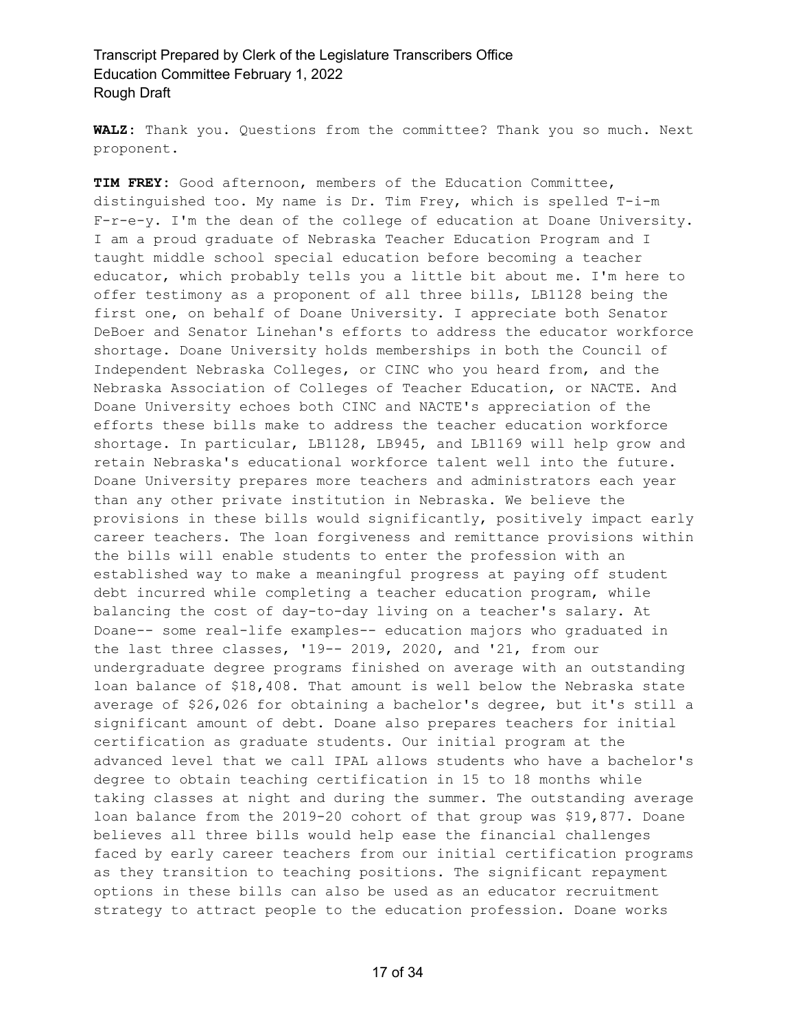**WALZ:** Thank you. Questions from the committee? Thank you so much. Next proponent.

**TIM FREY:** Good afternoon, members of the Education Committee, distinguished too. My name is Dr. Tim Frey, which is spelled T-i-m F-r-e-y. I'm the dean of the college of education at Doane University. I am a proud graduate of Nebraska Teacher Education Program and I taught middle school special education before becoming a teacher educator, which probably tells you a little bit about me. I'm here to offer testimony as a proponent of all three bills, LB1128 being the first one, on behalf of Doane University. I appreciate both Senator DeBoer and Senator Linehan's efforts to address the educator workforce shortage. Doane University holds memberships in both the Council of Independent Nebraska Colleges, or CINC who you heard from, and the Nebraska Association of Colleges of Teacher Education, or NACTE. And Doane University echoes both CINC and NACTE's appreciation of the efforts these bills make to address the teacher education workforce shortage. In particular, LB1128, LB945, and LB1169 will help grow and retain Nebraska's educational workforce talent well into the future. Doane University prepares more teachers and administrators each year than any other private institution in Nebraska. We believe the provisions in these bills would significantly, positively impact early career teachers. The loan forgiveness and remittance provisions within the bills will enable students to enter the profession with an established way to make a meaningful progress at paying off student debt incurred while completing a teacher education program, while balancing the cost of day-to-day living on a teacher's salary. At Doane-- some real-life examples-- education majors who graduated in the last three classes, '19-- 2019, 2020, and '21, from our undergraduate degree programs finished on average with an outstanding loan balance of \$18,408. That amount is well below the Nebraska state average of \$26,026 for obtaining a bachelor's degree, but it's still a significant amount of debt. Doane also prepares teachers for initial certification as graduate students. Our initial program at the advanced level that we call IPAL allows students who have a bachelor's degree to obtain teaching certification in 15 to 18 months while taking classes at night and during the summer. The outstanding average loan balance from the 2019-20 cohort of that group was \$19,877. Doane believes all three bills would help ease the financial challenges faced by early career teachers from our initial certification programs as they transition to teaching positions. The significant repayment options in these bills can also be used as an educator recruitment strategy to attract people to the education profession. Doane works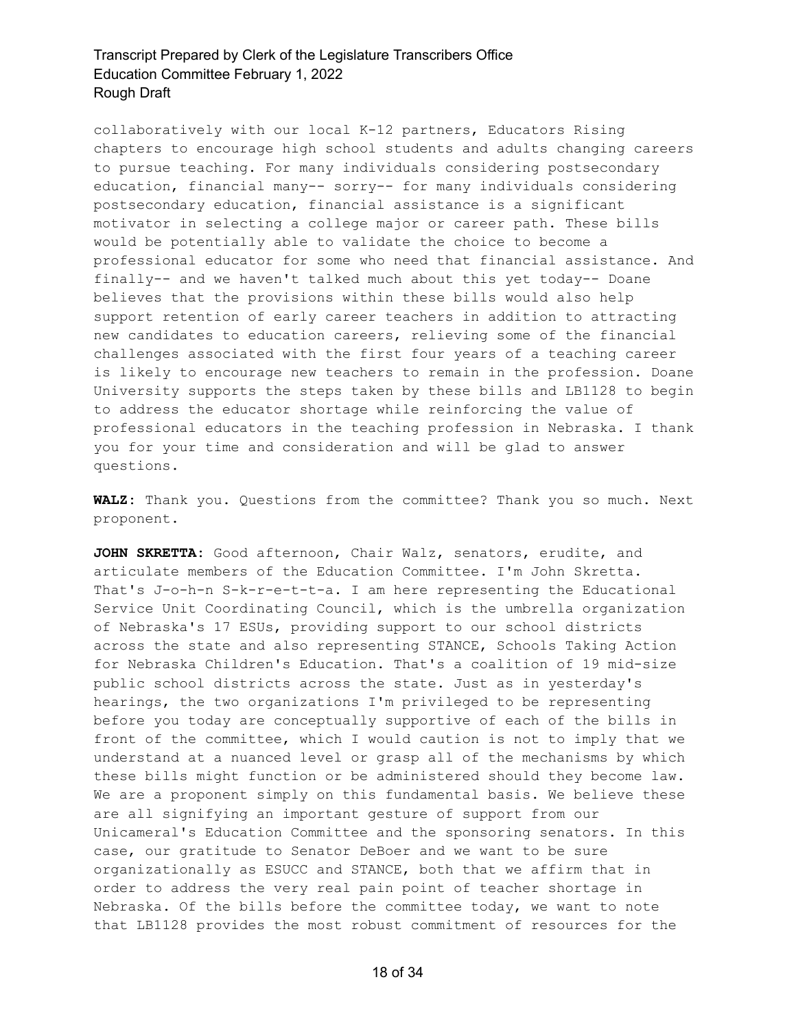collaboratively with our local K-12 partners, Educators Rising chapters to encourage high school students and adults changing careers to pursue teaching. For many individuals considering postsecondary education, financial many-- sorry-- for many individuals considering postsecondary education, financial assistance is a significant motivator in selecting a college major or career path. These bills would be potentially able to validate the choice to become a professional educator for some who need that financial assistance. And finally-- and we haven't talked much about this yet today-- Doane believes that the provisions within these bills would also help support retention of early career teachers in addition to attracting new candidates to education careers, relieving some of the financial challenges associated with the first four years of a teaching career is likely to encourage new teachers to remain in the profession. Doane University supports the steps taken by these bills and LB1128 to begin to address the educator shortage while reinforcing the value of professional educators in the teaching profession in Nebraska. I thank you for your time and consideration and will be glad to answer questions.

**WALZ:** Thank you. Questions from the committee? Thank you so much. Next proponent.

**JOHN SKRETTA:** Good afternoon, Chair Walz, senators, erudite, and articulate members of the Education Committee. I'm John Skretta. That's J-o-h-n S-k-r-e-t-t-a. I am here representing the Educational Service Unit Coordinating Council, which is the umbrella organization of Nebraska's 17 ESUs, providing support to our school districts across the state and also representing STANCE, Schools Taking Action for Nebraska Children's Education. That's a coalition of 19 mid-size public school districts across the state. Just as in yesterday's hearings, the two organizations I'm privileged to be representing before you today are conceptually supportive of each of the bills in front of the committee, which I would caution is not to imply that we understand at a nuanced level or grasp all of the mechanisms by which these bills might function or be administered should they become law. We are a proponent simply on this fundamental basis. We believe these are all signifying an important gesture of support from our Unicameral's Education Committee and the sponsoring senators. In this case, our gratitude to Senator DeBoer and we want to be sure organizationally as ESUCC and STANCE, both that we affirm that in order to address the very real pain point of teacher shortage in Nebraska. Of the bills before the committee today, we want to note that LB1128 provides the most robust commitment of resources for the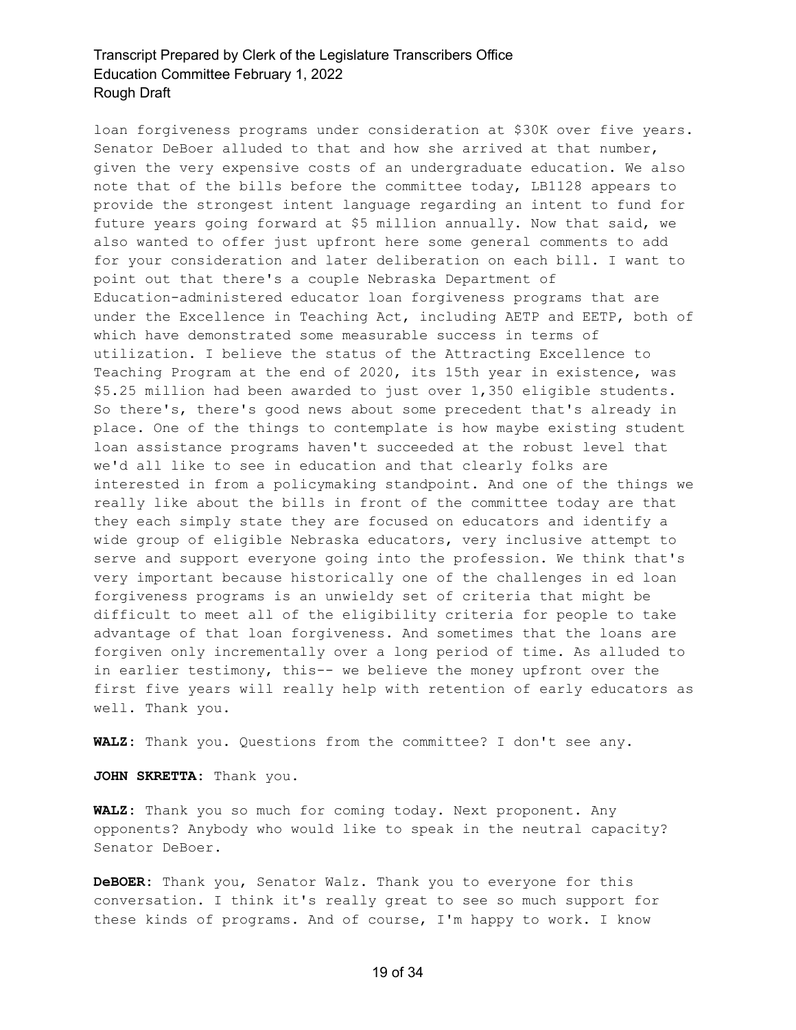loan forgiveness programs under consideration at \$30K over five years. Senator DeBoer alluded to that and how she arrived at that number, given the very expensive costs of an undergraduate education. We also note that of the bills before the committee today, LB1128 appears to provide the strongest intent language regarding an intent to fund for future years going forward at \$5 million annually. Now that said, we also wanted to offer just upfront here some general comments to add for your consideration and later deliberation on each bill. I want to point out that there's a couple Nebraska Department of Education-administered educator loan forgiveness programs that are under the Excellence in Teaching Act, including AETP and EETP, both of which have demonstrated some measurable success in terms of utilization. I believe the status of the Attracting Excellence to Teaching Program at the end of 2020, its 15th year in existence, was \$5.25 million had been awarded to just over 1,350 eligible students. So there's, there's good news about some precedent that's already in place. One of the things to contemplate is how maybe existing student loan assistance programs haven't succeeded at the robust level that we'd all like to see in education and that clearly folks are interested in from a policymaking standpoint. And one of the things we really like about the bills in front of the committee today are that they each simply state they are focused on educators and identify a wide group of eligible Nebraska educators, very inclusive attempt to serve and support everyone going into the profession. We think that's very important because historically one of the challenges in ed loan forgiveness programs is an unwieldy set of criteria that might be difficult to meet all of the eligibility criteria for people to take advantage of that loan forgiveness. And sometimes that the loans are forgiven only incrementally over a long period of time. As alluded to in earlier testimony, this-- we believe the money upfront over the first five years will really help with retention of early educators as well. Thank you.

**WALZ:** Thank you. Questions from the committee? I don't see any.

**JOHN SKRETTA:** Thank you.

**WALZ:** Thank you so much for coming today. Next proponent. Any opponents? Anybody who would like to speak in the neutral capacity? Senator DeBoer.

**DeBOER:** Thank you, Senator Walz. Thank you to everyone for this conversation. I think it's really great to see so much support for these kinds of programs. And of course, I'm happy to work. I know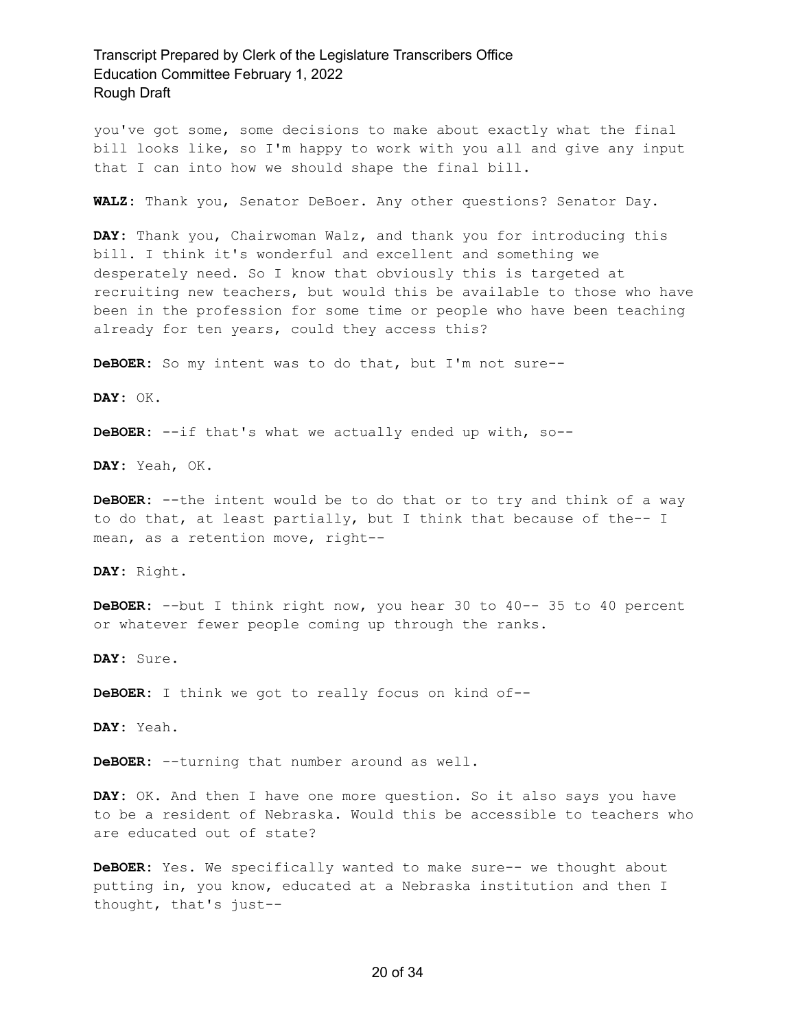you've got some, some decisions to make about exactly what the final bill looks like, so I'm happy to work with you all and give any input that I can into how we should shape the final bill.

**WALZ:** Thank you, Senator DeBoer. Any other questions? Senator Day.

**DAY:** Thank you, Chairwoman Walz, and thank you for introducing this bill. I think it's wonderful and excellent and something we desperately need. So I know that obviously this is targeted at recruiting new teachers, but would this be available to those who have been in the profession for some time or people who have been teaching already for ten years, could they access this?

**DeBOER:** So my intent was to do that, but I'm not sure--

**DAY:** OK.

**DeBOER:** --if that's what we actually ended up with, so--

**DAY:** Yeah, OK.

**DeBOER:** --the intent would be to do that or to try and think of a way to do that, at least partially, but I think that because of the-- I mean, as a retention move, right--

**DAY:** Right.

**DeBOER:** --but I think right now, you hear 30 to 40-- 35 to 40 percent or whatever fewer people coming up through the ranks.

**DAY:** Sure.

**DeBOER:** I think we got to really focus on kind of--

**DAY:** Yeah.

**DeBOER:** --turning that number around as well.

**DAY:** OK. And then I have one more question. So it also says you have to be a resident of Nebraska. Would this be accessible to teachers who are educated out of state?

**DeBOER:** Yes. We specifically wanted to make sure-- we thought about putting in, you know, educated at a Nebraska institution and then I thought, that's just--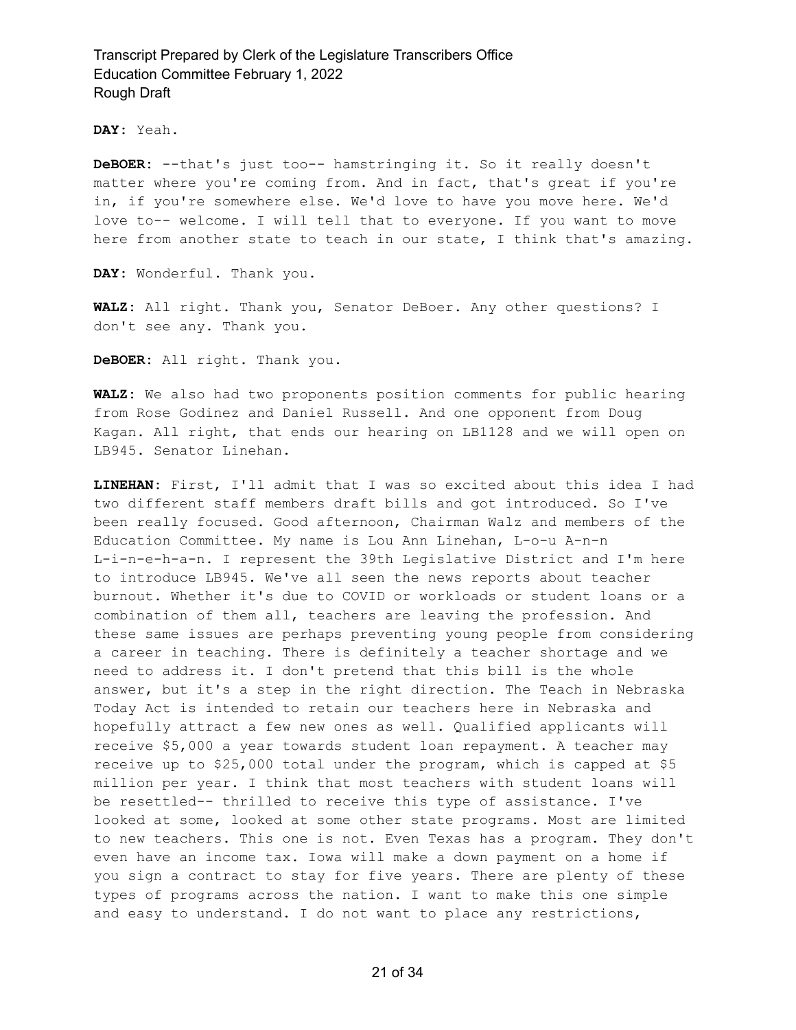**DAY:** Yeah.

**DeBOER:** --that's just too-- hamstringing it. So it really doesn't matter where you're coming from. And in fact, that's great if you're in, if you're somewhere else. We'd love to have you move here. We'd love to-- welcome. I will tell that to everyone. If you want to move here from another state to teach in our state, I think that's amazing.

**DAY:** Wonderful. Thank you.

**WALZ:** All right. Thank you, Senator DeBoer. Any other questions? I don't see any. Thank you.

**DeBOER:** All right. Thank you.

**WALZ:** We also had two proponents position comments for public hearing from Rose Godinez and Daniel Russell. And one opponent from Doug Kagan. All right, that ends our hearing on LB1128 and we will open on LB945. Senator Linehan.

**LINEHAN:** First, I'll admit that I was so excited about this idea I had two different staff members draft bills and got introduced. So I've been really focused. Good afternoon, Chairman Walz and members of the Education Committee. My name is Lou Ann Linehan, L-o-u A-n-n L-i-n-e-h-a-n. I represent the 39th Legislative District and I'm here to introduce LB945. We've all seen the news reports about teacher burnout. Whether it's due to COVID or workloads or student loans or a combination of them all, teachers are leaving the profession. And these same issues are perhaps preventing young people from considering a career in teaching. There is definitely a teacher shortage and we need to address it. I don't pretend that this bill is the whole answer, but it's a step in the right direction. The Teach in Nebraska Today Act is intended to retain our teachers here in Nebraska and hopefully attract a few new ones as well. Qualified applicants will receive \$5,000 a year towards student loan repayment. A teacher may receive up to \$25,000 total under the program, which is capped at \$5 million per year. I think that most teachers with student loans will be resettled-- thrilled to receive this type of assistance. I've looked at some, looked at some other state programs. Most are limited to new teachers. This one is not. Even Texas has a program. They don't even have an income tax. Iowa will make a down payment on a home if you sign a contract to stay for five years. There are plenty of these types of programs across the nation. I want to make this one simple and easy to understand. I do not want to place any restrictions,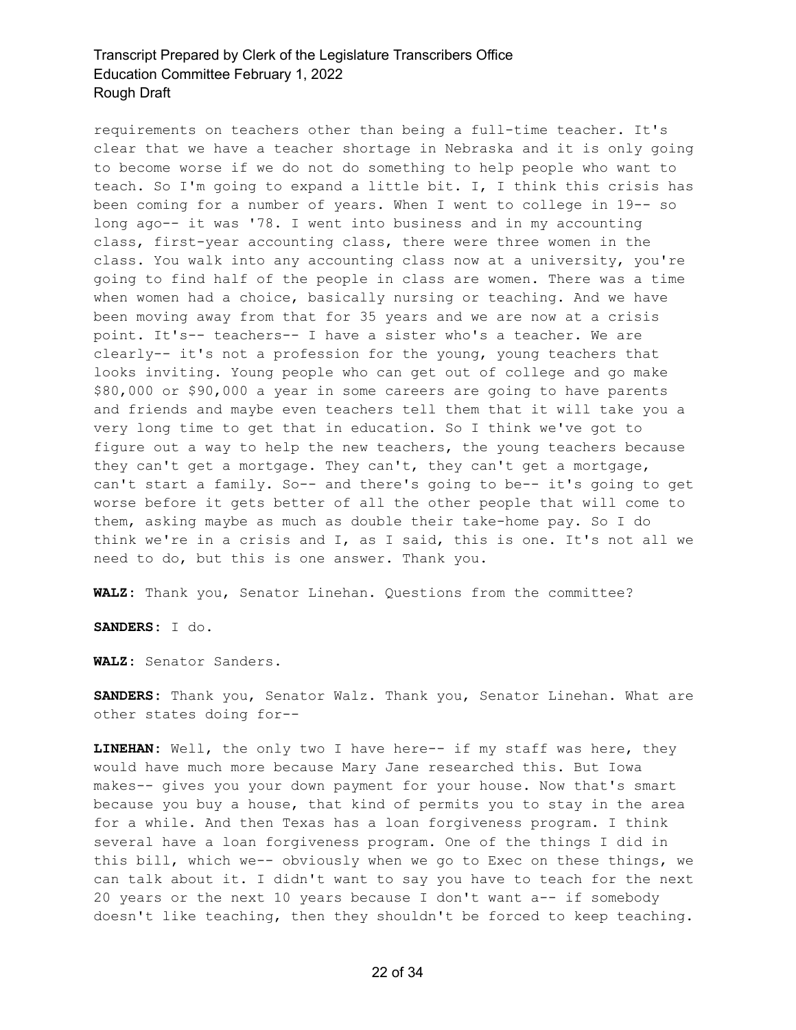requirements on teachers other than being a full-time teacher. It's clear that we have a teacher shortage in Nebraska and it is only going to become worse if we do not do something to help people who want to teach. So I'm going to expand a little bit. I, I think this crisis has been coming for a number of years. When I went to college in 19-- so long ago-- it was '78. I went into business and in my accounting class, first-year accounting class, there were three women in the class. You walk into any accounting class now at a university, you're going to find half of the people in class are women. There was a time when women had a choice, basically nursing or teaching. And we have been moving away from that for 35 years and we are now at a crisis point. It's-- teachers-- I have a sister who's a teacher. We are clearly-- it's not a profession for the young, young teachers that looks inviting. Young people who can get out of college and go make \$80,000 or \$90,000 a year in some careers are going to have parents and friends and maybe even teachers tell them that it will take you a very long time to get that in education. So I think we've got to figure out a way to help the new teachers, the young teachers because they can't get a mortgage. They can't, they can't get a mortgage, can't start a family. So-- and there's going to be-- it's going to get worse before it gets better of all the other people that will come to them, asking maybe as much as double their take-home pay. So I do think we're in a crisis and I, as I said, this is one. It's not all we need to do, but this is one answer. Thank you.

**WALZ:** Thank you, Senator Linehan. Questions from the committee?

**SANDERS:** I do.

**WALZ:** Senator Sanders.

**SANDERS:** Thank you, Senator Walz. Thank you, Senator Linehan. What are other states doing for--

**LINEHAN:** Well, the only two I have here-- if my staff was here, they would have much more because Mary Jane researched this. But Iowa makes-- gives you your down payment for your house. Now that's smart because you buy a house, that kind of permits you to stay in the area for a while. And then Texas has a loan forgiveness program. I think several have a loan forgiveness program. One of the things I did in this bill, which we-- obviously when we go to Exec on these things, we can talk about it. I didn't want to say you have to teach for the next 20 years or the next 10 years because I don't want a-- if somebody doesn't like teaching, then they shouldn't be forced to keep teaching.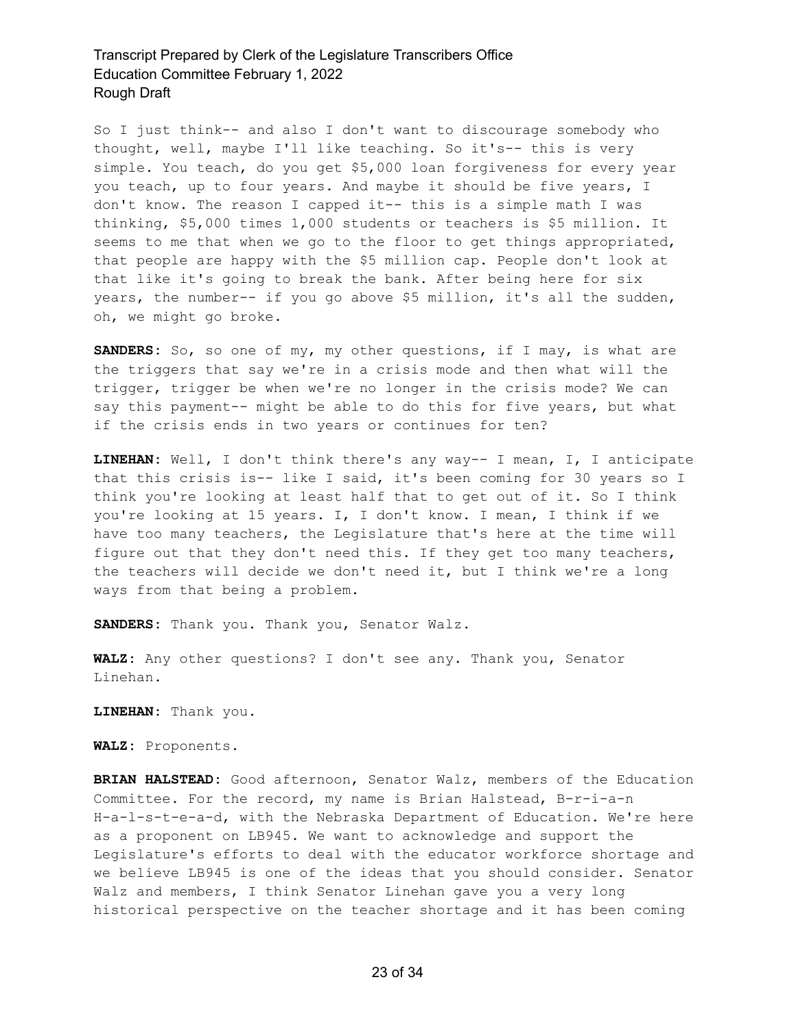So I just think-- and also I don't want to discourage somebody who thought, well, maybe I'll like teaching. So it's-- this is very simple. You teach, do you get \$5,000 loan forgiveness for every year you teach, up to four years. And maybe it should be five years, I don't know. The reason I capped it-- this is a simple math I was thinking, \$5,000 times 1,000 students or teachers is \$5 million. It seems to me that when we go to the floor to get things appropriated, that people are happy with the \$5 million cap. People don't look at that like it's going to break the bank. After being here for six years, the number-- if you go above \$5 million, it's all the sudden, oh, we might go broke.

**SANDERS:** So, so one of my, my other questions, if I may, is what are the triggers that say we're in a crisis mode and then what will the trigger, trigger be when we're no longer in the crisis mode? We can say this payment-- might be able to do this for five years, but what if the crisis ends in two years or continues for ten?

**LINEHAN:** Well, I don't think there's any way-- I mean, I, I anticipate that this crisis is-- like I said, it's been coming for 30 years so I think you're looking at least half that to get out of it. So I think you're looking at 15 years. I, I don't know. I mean, I think if we have too many teachers, the Legislature that's here at the time will figure out that they don't need this. If they get too many teachers, the teachers will decide we don't need it, but I think we're a long ways from that being a problem.

**SANDERS:** Thank you. Thank you, Senator Walz.

**WALZ:** Any other questions? I don't see any. Thank you, Senator Linehan.

**LINEHAN:** Thank you.

**WALZ:** Proponents.

**BRIAN HALSTEAD:** Good afternoon, Senator Walz, members of the Education Committee. For the record, my name is Brian Halstead, B-r-i-a-n H-a-l-s-t-e-a-d, with the Nebraska Department of Education. We're here as a proponent on LB945. We want to acknowledge and support the Legislature's efforts to deal with the educator workforce shortage and we believe LB945 is one of the ideas that you should consider. Senator Walz and members, I think Senator Linehan gave you a very long historical perspective on the teacher shortage and it has been coming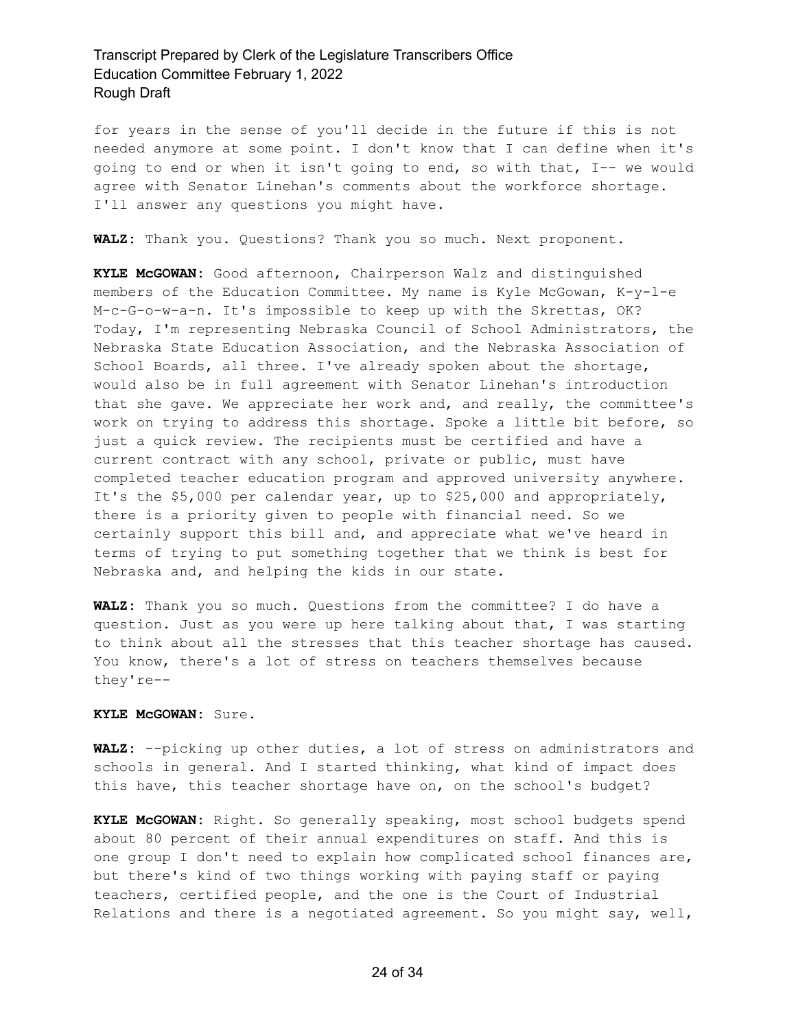for years in the sense of you'll decide in the future if this is not needed anymore at some point. I don't know that I can define when it's going to end or when it isn't going to end, so with that, I-- we would agree with Senator Linehan's comments about the workforce shortage. I'll answer any questions you might have.

**WALZ:** Thank you. Questions? Thank you so much. Next proponent.

**KYLE McGOWAN:** Good afternoon, Chairperson Walz and distinguished members of the Education Committee. My name is Kyle McGowan, K-y-l-e M-c-G-o-w-a-n. It's impossible to keep up with the Skrettas, OK? Today, I'm representing Nebraska Council of School Administrators, the Nebraska State Education Association, and the Nebraska Association of School Boards, all three. I've already spoken about the shortage, would also be in full agreement with Senator Linehan's introduction that she gave. We appreciate her work and, and really, the committee's work on trying to address this shortage. Spoke a little bit before, so just a quick review. The recipients must be certified and have a current contract with any school, private or public, must have completed teacher education program and approved university anywhere. It's the \$5,000 per calendar year, up to \$25,000 and appropriately, there is a priority given to people with financial need. So we certainly support this bill and, and appreciate what we've heard in terms of trying to put something together that we think is best for Nebraska and, and helping the kids in our state.

**WALZ:** Thank you so much. Questions from the committee? I do have a question. Just as you were up here talking about that, I was starting to think about all the stresses that this teacher shortage has caused. You know, there's a lot of stress on teachers themselves because they're--

#### **KYLE McGOWAN:** Sure.

**WALZ:** --picking up other duties, a lot of stress on administrators and schools in general. And I started thinking, what kind of impact does this have, this teacher shortage have on, on the school's budget?

**KYLE McGOWAN:** Right. So generally speaking, most school budgets spend about 80 percent of their annual expenditures on staff. And this is one group I don't need to explain how complicated school finances are, but there's kind of two things working with paying staff or paying teachers, certified people, and the one is the Court of Industrial Relations and there is a negotiated agreement. So you might say, well,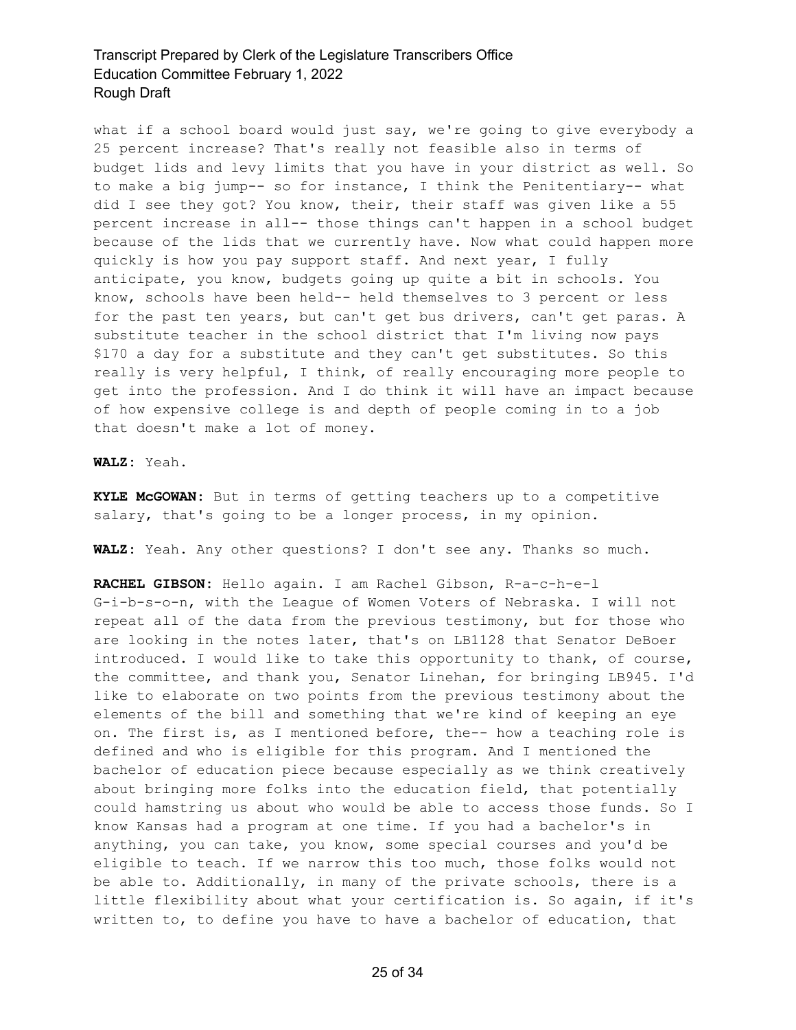what if a school board would just say, we're going to give everybody a 25 percent increase? That's really not feasible also in terms of budget lids and levy limits that you have in your district as well. So to make a big jump-- so for instance, I think the Penitentiary-- what did I see they got? You know, their, their staff was given like a 55 percent increase in all-- those things can't happen in a school budget because of the lids that we currently have. Now what could happen more quickly is how you pay support staff. And next year, I fully anticipate, you know, budgets going up quite a bit in schools. You know, schools have been held-- held themselves to 3 percent or less for the past ten years, but can't get bus drivers, can't get paras. A substitute teacher in the school district that I'm living now pays \$170 a day for a substitute and they can't get substitutes. So this really is very helpful, I think, of really encouraging more people to get into the profession. And I do think it will have an impact because of how expensive college is and depth of people coming in to a job that doesn't make a lot of money.

#### **WALZ:** Yeah.

**KYLE McGOWAN:** But in terms of getting teachers up to a competitive salary, that's going to be a longer process, in my opinion.

**WALZ:** Yeah. Any other questions? I don't see any. Thanks so much.

**RACHEL GIBSON:** Hello again. I am Rachel Gibson, R-a-c-h-e-l G-i-b-s-o-n, with the League of Women Voters of Nebraska. I will not repeat all of the data from the previous testimony, but for those who are looking in the notes later, that's on LB1128 that Senator DeBoer introduced. I would like to take this opportunity to thank, of course, the committee, and thank you, Senator Linehan, for bringing LB945. I'd like to elaborate on two points from the previous testimony about the elements of the bill and something that we're kind of keeping an eye on. The first is, as I mentioned before, the-- how a teaching role is defined and who is eligible for this program. And I mentioned the bachelor of education piece because especially as we think creatively about bringing more folks into the education field, that potentially could hamstring us about who would be able to access those funds. So I know Kansas had a program at one time. If you had a bachelor's in anything, you can take, you know, some special courses and you'd be eligible to teach. If we narrow this too much, those folks would not be able to. Additionally, in many of the private schools, there is a little flexibility about what your certification is. So again, if it's written to, to define you have to have a bachelor of education, that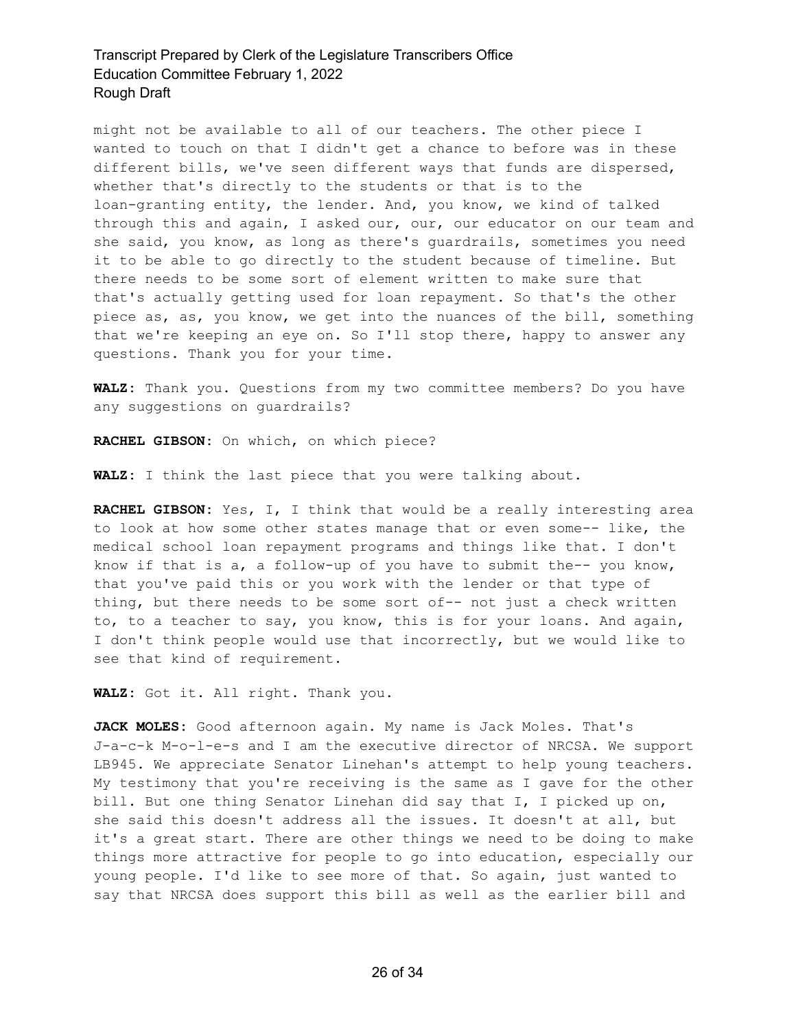might not be available to all of our teachers. The other piece I wanted to touch on that I didn't get a chance to before was in these different bills, we've seen different ways that funds are dispersed, whether that's directly to the students or that is to the loan-granting entity, the lender. And, you know, we kind of talked through this and again, I asked our, our, our educator on our team and she said, you know, as long as there's guardrails, sometimes you need it to be able to go directly to the student because of timeline. But there needs to be some sort of element written to make sure that that's actually getting used for loan repayment. So that's the other piece as, as, you know, we get into the nuances of the bill, something that we're keeping an eye on. So I'll stop there, happy to answer any questions. Thank you for your time.

**WALZ:** Thank you. Questions from my two committee members? Do you have any suggestions on guardrails?

**RACHEL GIBSON:** On which, on which piece?

**WALZ:** I think the last piece that you were talking about.

**RACHEL GIBSON:** Yes, I, I think that would be a really interesting area to look at how some other states manage that or even some-- like, the medical school loan repayment programs and things like that. I don't know if that is a, a follow-up of you have to submit the-- you know, that you've paid this or you work with the lender or that type of thing, but there needs to be some sort of-- not just a check written to, to a teacher to say, you know, this is for your loans. And again, I don't think people would use that incorrectly, but we would like to see that kind of requirement.

**WALZ:** Got it. All right. Thank you.

**JACK MOLES:** Good afternoon again. My name is Jack Moles. That's J-a-c-k M-o-l-e-s and I am the executive director of NRCSA. We support LB945. We appreciate Senator Linehan's attempt to help young teachers. My testimony that you're receiving is the same as I gave for the other bill. But one thing Senator Linehan did say that I, I picked up on, she said this doesn't address all the issues. It doesn't at all, but it's a great start. There are other things we need to be doing to make things more attractive for people to go into education, especially our young people. I'd like to see more of that. So again, just wanted to say that NRCSA does support this bill as well as the earlier bill and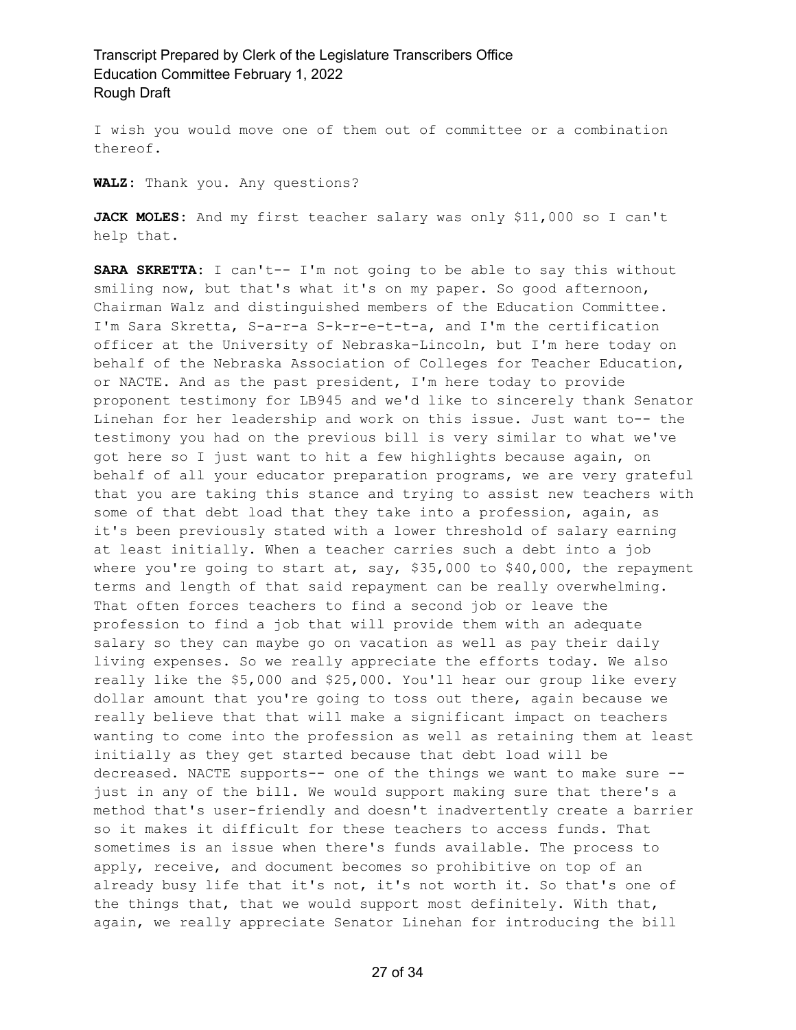I wish you would move one of them out of committee or a combination thereof.

**WALZ:** Thank you. Any questions?

**JACK MOLES:** And my first teacher salary was only \$11,000 so I can't help that.

**SARA SKRETTA:** I can't-- I'm not going to be able to say this without smiling now, but that's what it's on my paper. So good afternoon, Chairman Walz and distinguished members of the Education Committee. I'm Sara Skretta, S-a-r-a S-k-r-e-t-t-a, and I'm the certification officer at the University of Nebraska-Lincoln, but I'm here today on behalf of the Nebraska Association of Colleges for Teacher Education, or NACTE. And as the past president, I'm here today to provide proponent testimony for LB945 and we'd like to sincerely thank Senator Linehan for her leadership and work on this issue. Just want to-- the testimony you had on the previous bill is very similar to what we've got here so I just want to hit a few highlights because again, on behalf of all your educator preparation programs, we are very grateful that you are taking this stance and trying to assist new teachers with some of that debt load that they take into a profession, again, as it's been previously stated with a lower threshold of salary earning at least initially. When a teacher carries such a debt into a job where you're going to start at, say, \$35,000 to \$40,000, the repayment terms and length of that said repayment can be really overwhelming. That often forces teachers to find a second job or leave the profession to find a job that will provide them with an adequate salary so they can maybe go on vacation as well as pay their daily living expenses. So we really appreciate the efforts today. We also really like the \$5,000 and \$25,000. You'll hear our group like every dollar amount that you're going to toss out there, again because we really believe that that will make a significant impact on teachers wanting to come into the profession as well as retaining them at least initially as they get started because that debt load will be decreased. NACTE supports-- one of the things we want to make sure - just in any of the bill. We would support making sure that there's a method that's user-friendly and doesn't inadvertently create a barrier so it makes it difficult for these teachers to access funds. That sometimes is an issue when there's funds available. The process to apply, receive, and document becomes so prohibitive on top of an already busy life that it's not, it's not worth it. So that's one of the things that, that we would support most definitely. With that, again, we really appreciate Senator Linehan for introducing the bill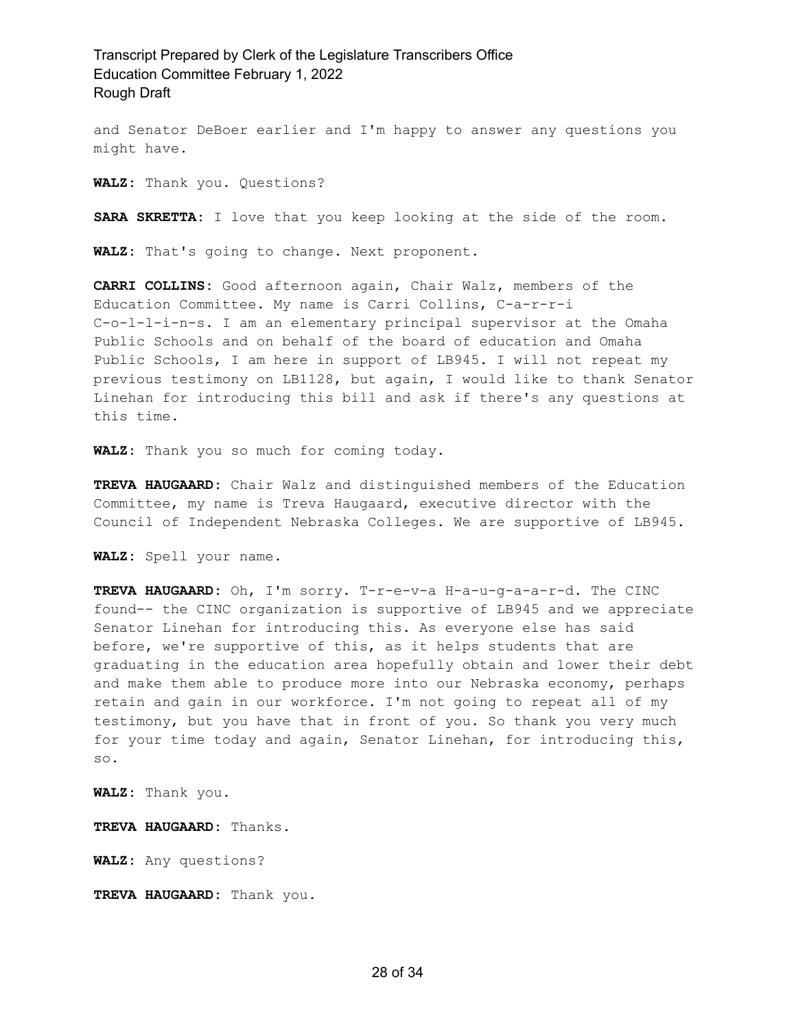and Senator DeBoer earlier and I'm happy to answer any questions you might have.

**WALZ:** Thank you. Questions?

**SARA SKRETTA:** I love that you keep looking at the side of the room.

**WALZ:** That's going to change. Next proponent.

**CARRI COLLINS:** Good afternoon again, Chair Walz, members of the Education Committee. My name is Carri Collins, C-a-r-r-i C-o-l-l-i-n-s. I am an elementary principal supervisor at the Omaha Public Schools and on behalf of the board of education and Omaha Public Schools, I am here in support of LB945. I will not repeat my previous testimony on LB1128, but again, I would like to thank Senator Linehan for introducing this bill and ask if there's any questions at this time.

**WALZ:** Thank you so much for coming today.

**TREVA HAUGAARD:** Chair Walz and distinguished members of the Education Committee, my name is Treva Haugaard, executive director with the Council of Independent Nebraska Colleges. We are supportive of LB945.

**WALZ:** Spell your name.

**TREVA HAUGAARD:** Oh, I'm sorry. T-r-e-v-a H-a-u-g-a-a-r-d. The CINC found-- the CINC organization is supportive of LB945 and we appreciate Senator Linehan for introducing this. As everyone else has said before, we're supportive of this, as it helps students that are graduating in the education area hopefully obtain and lower their debt and make them able to produce more into our Nebraska economy, perhaps retain and gain in our workforce. I'm not going to repeat all of my testimony, but you have that in front of you. So thank you very much for your time today and again, Senator Linehan, for introducing this, so.

**WALZ:** Thank you.

**TREVA HAUGAARD:** Thanks.

**WALZ:** Any questions?

**TREVA HAUGAARD:** Thank you.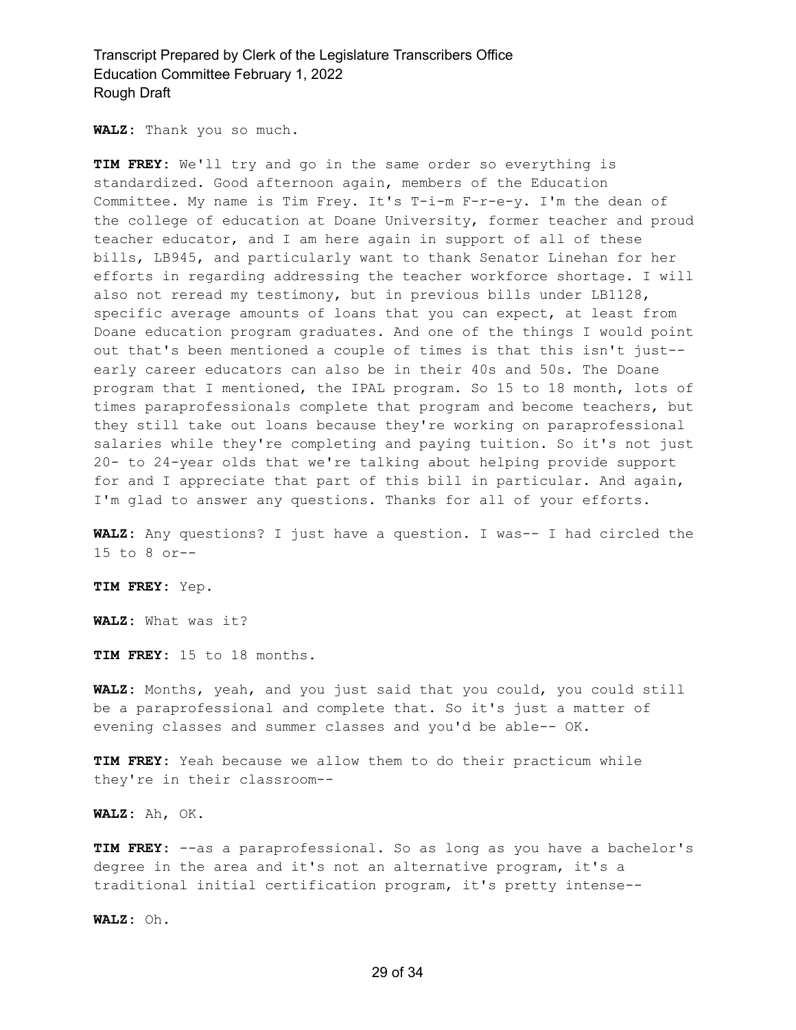**WALZ:** Thank you so much.

**TIM FREY:** We'll try and go in the same order so everything is standardized. Good afternoon again, members of the Education Committee. My name is Tim Frey. It's T-i-m F-r-e-y. I'm the dean of the college of education at Doane University, former teacher and proud teacher educator, and I am here again in support of all of these bills, LB945, and particularly want to thank Senator Linehan for her efforts in regarding addressing the teacher workforce shortage. I will also not reread my testimony, but in previous bills under LB1128, specific average amounts of loans that you can expect, at least from Doane education program graduates. And one of the things I would point out that's been mentioned a couple of times is that this isn't just- early career educators can also be in their 40s and 50s. The Doane program that I mentioned, the IPAL program. So 15 to 18 month, lots of times paraprofessionals complete that program and become teachers, but they still take out loans because they're working on paraprofessional salaries while they're completing and paying tuition. So it's not just 20- to 24-year olds that we're talking about helping provide support for and I appreciate that part of this bill in particular. And again, I'm glad to answer any questions. Thanks for all of your efforts.

**WALZ:** Any questions? I just have a question. I was-- I had circled the 15 to 8 or--

**TIM FREY:** Yep.

**WALZ:** What was it?

**TIM FREY:** 15 to 18 months.

**WALZ:** Months, yeah, and you just said that you could, you could still be a paraprofessional and complete that. So it's just a matter of evening classes and summer classes and you'd be able-- OK.

**TIM FREY:** Yeah because we allow them to do their practicum while they're in their classroom--

**WALZ:** Ah, OK.

**TIM FREY:** --as a paraprofessional. So as long as you have a bachelor's degree in the area and it's not an alternative program, it's a traditional initial certification program, it's pretty intense--

**WALZ:** Oh.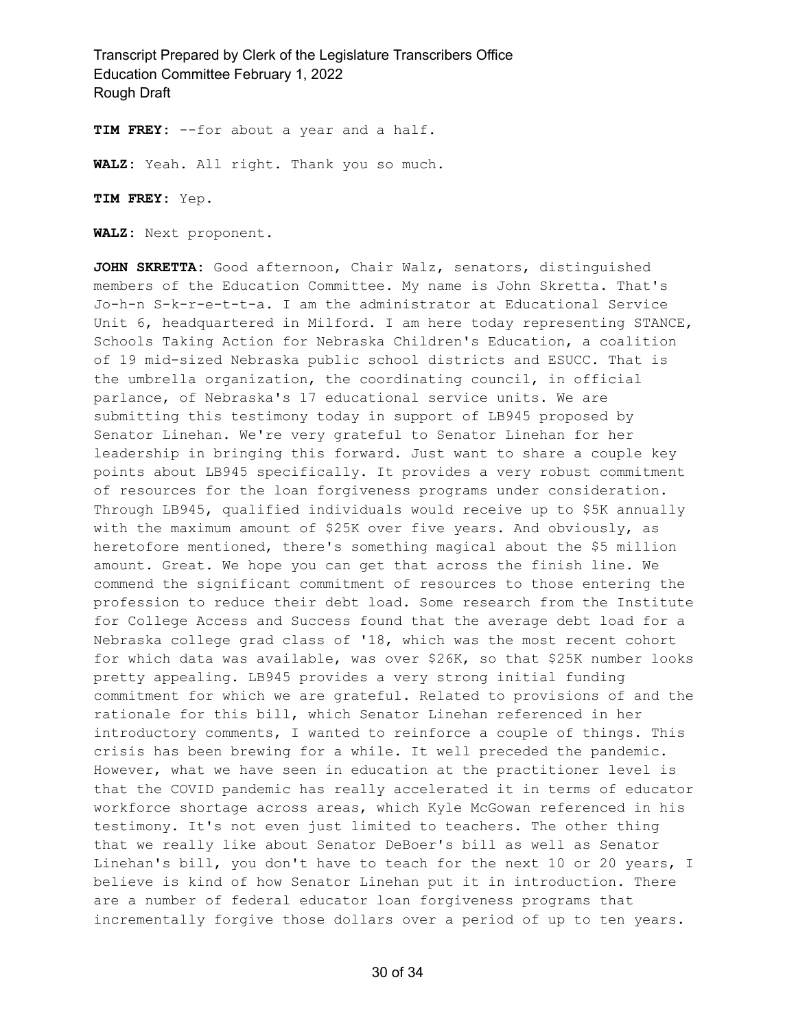**TIM FREY:** --for about a year and a half.

**WALZ:** Yeah. All right. Thank you so much.

**TIM FREY:** Yep.

**WALZ:** Next proponent.

**JOHN SKRETTA:** Good afternoon, Chair Walz, senators, distinguished members of the Education Committee. My name is John Skretta. That's Jo-h-n S-k-r-e-t-t-a. I am the administrator at Educational Service Unit 6, headquartered in Milford. I am here today representing STANCE, Schools Taking Action for Nebraska Children's Education, a coalition of 19 mid-sized Nebraska public school districts and ESUCC. That is the umbrella organization, the coordinating council, in official parlance, of Nebraska's 17 educational service units. We are submitting this testimony today in support of LB945 proposed by Senator Linehan. We're very grateful to Senator Linehan for her leadership in bringing this forward. Just want to share a couple key points about LB945 specifically. It provides a very robust commitment of resources for the loan forgiveness programs under consideration. Through LB945, qualified individuals would receive up to \$5K annually with the maximum amount of \$25K over five years. And obviously, as heretofore mentioned, there's something magical about the \$5 million amount. Great. We hope you can get that across the finish line. We commend the significant commitment of resources to those entering the profession to reduce their debt load. Some research from the Institute for College Access and Success found that the average debt load for a Nebraska college grad class of '18, which was the most recent cohort for which data was available, was over \$26K, so that \$25K number looks pretty appealing. LB945 provides a very strong initial funding commitment for which we are grateful. Related to provisions of and the rationale for this bill, which Senator Linehan referenced in her introductory comments, I wanted to reinforce a couple of things. This crisis has been brewing for a while. It well preceded the pandemic. However, what we have seen in education at the practitioner level is that the COVID pandemic has really accelerated it in terms of educator workforce shortage across areas, which Kyle McGowan referenced in his testimony. It's not even just limited to teachers. The other thing that we really like about Senator DeBoer's bill as well as Senator Linehan's bill, you don't have to teach for the next 10 or 20 years, I believe is kind of how Senator Linehan put it in introduction. There are a number of federal educator loan forgiveness programs that incrementally forgive those dollars over a period of up to ten years.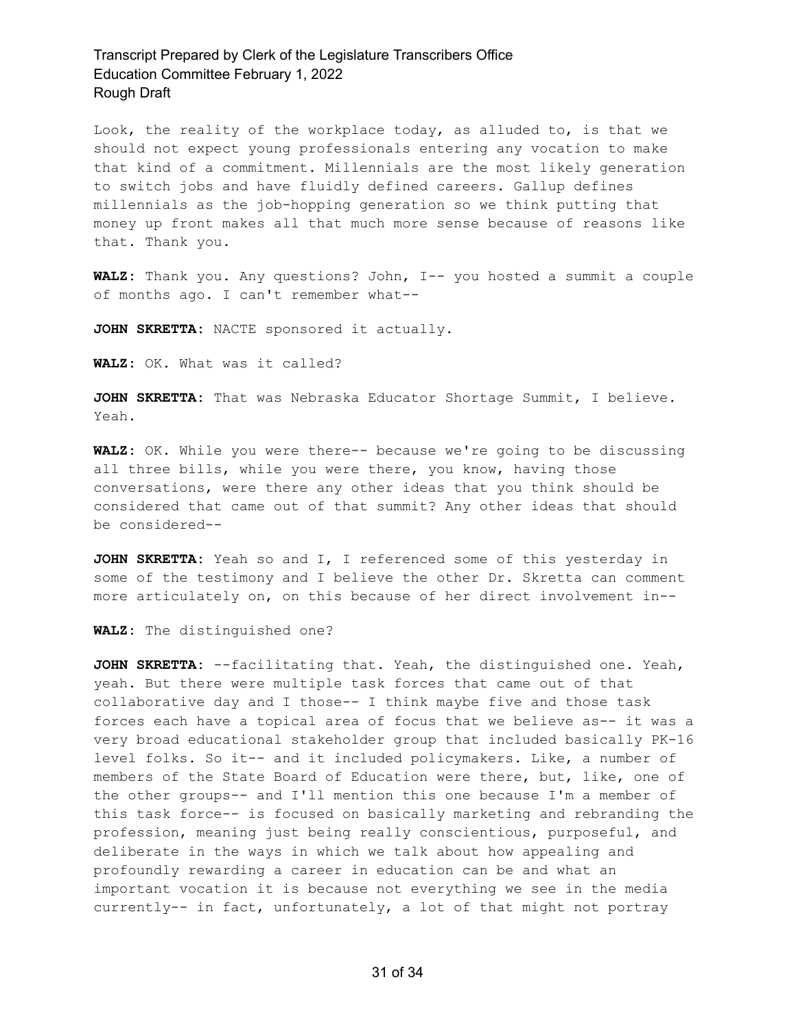Look, the reality of the workplace today, as alluded to, is that we should not expect young professionals entering any vocation to make that kind of a commitment. Millennials are the most likely generation to switch jobs and have fluidly defined careers. Gallup defines millennials as the job-hopping generation so we think putting that money up front makes all that much more sense because of reasons like that. Thank you.

**WALZ:** Thank you. Any questions? John, I-- you hosted a summit a couple of months ago. I can't remember what--

**JOHN SKRETTA:** NACTE sponsored it actually.

**WALZ:** OK. What was it called?

**JOHN SKRETTA:** That was Nebraska Educator Shortage Summit, I believe. Yeah.

**WALZ:** OK. While you were there-- because we're going to be discussing all three bills, while you were there, you know, having those conversations, were there any other ideas that you think should be considered that came out of that summit? Any other ideas that should be considered--

**JOHN SKRETTA:** Yeah so and I, I referenced some of this yesterday in some of the testimony and I believe the other Dr. Skretta can comment more articulately on, on this because of her direct involvement in--

**WALZ:** The distinguished one?

**JOHN SKRETTA:** --facilitating that. Yeah, the distinguished one. Yeah, yeah. But there were multiple task forces that came out of that collaborative day and I those-- I think maybe five and those task forces each have a topical area of focus that we believe as-- it was a very broad educational stakeholder group that included basically PK-16 level folks. So it-- and it included policymakers. Like, a number of members of the State Board of Education were there, but, like, one of the other groups-- and I'll mention this one because I'm a member of this task force-- is focused on basically marketing and rebranding the profession, meaning just being really conscientious, purposeful, and deliberate in the ways in which we talk about how appealing and profoundly rewarding a career in education can be and what an important vocation it is because not everything we see in the media currently-- in fact, unfortunately, a lot of that might not portray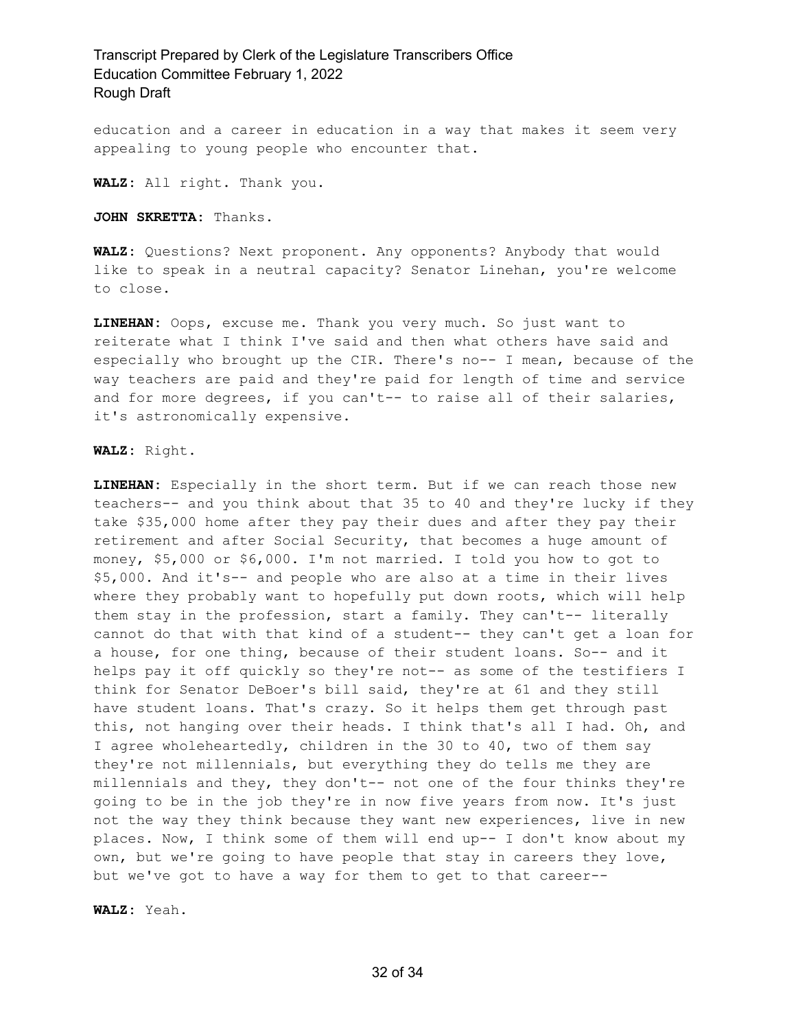education and a career in education in a way that makes it seem very appealing to young people who encounter that.

**WALZ:** All right. Thank you.

**JOHN SKRETTA:** Thanks.

**WALZ:** Questions? Next proponent. Any opponents? Anybody that would like to speak in a neutral capacity? Senator Linehan, you're welcome to close.

**LINEHAN:** Oops, excuse me. Thank you very much. So just want to reiterate what I think I've said and then what others have said and especially who brought up the CIR. There's no-- I mean, because of the way teachers are paid and they're paid for length of time and service and for more degrees, if you can't-- to raise all of their salaries, it's astronomically expensive.

#### **WALZ:** Right.

**LINEHAN:** Especially in the short term. But if we can reach those new teachers-- and you think about that 35 to 40 and they're lucky if they take \$35,000 home after they pay their dues and after they pay their retirement and after Social Security, that becomes a huge amount of money, \$5,000 or \$6,000. I'm not married. I told you how to got to \$5,000. And it's-- and people who are also at a time in their lives where they probably want to hopefully put down roots, which will help them stay in the profession, start a family. They can't-- literally cannot do that with that kind of a student-- they can't get a loan for a house, for one thing, because of their student loans. So-- and it helps pay it off quickly so they're not-- as some of the testifiers I think for Senator DeBoer's bill said, they're at 61 and they still have student loans. That's crazy. So it helps them get through past this, not hanging over their heads. I think that's all I had. Oh, and I agree wholeheartedly, children in the 30 to 40, two of them say they're not millennials, but everything they do tells me they are millennials and they, they don't-- not one of the four thinks they're going to be in the job they're in now five years from now. It's just not the way they think because they want new experiences, live in new places. Now, I think some of them will end up-- I don't know about my own, but we're going to have people that stay in careers they love, but we've got to have a way for them to get to that career--

**WALZ:** Yeah.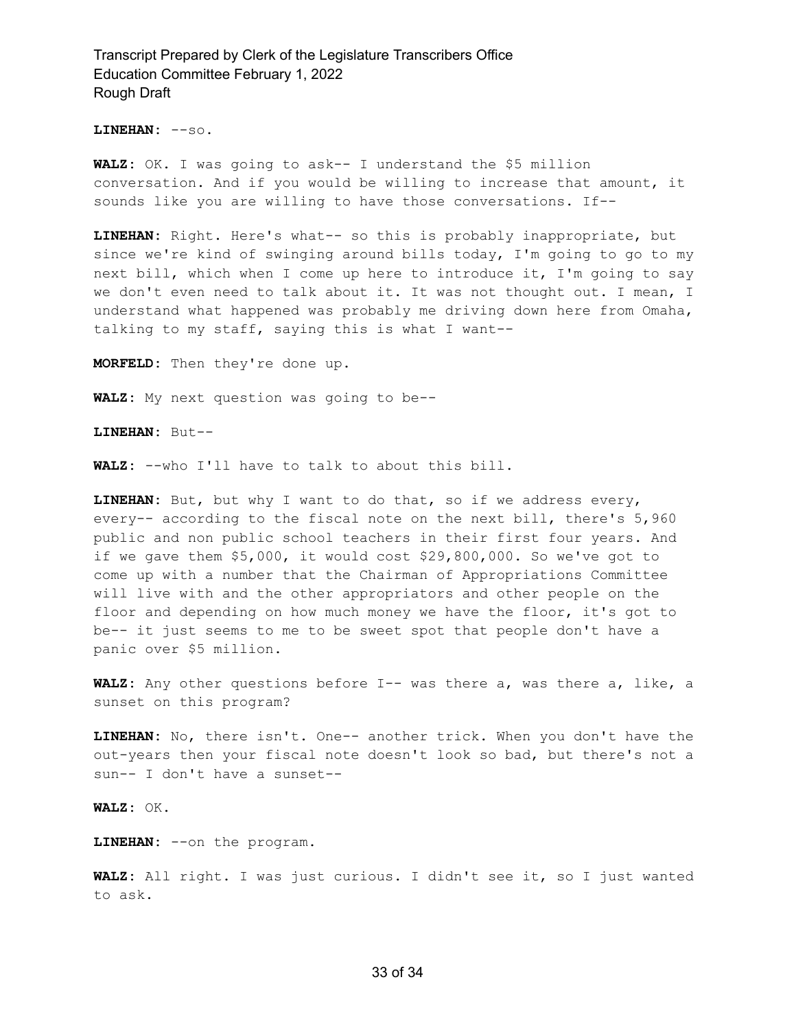**LINEHAN:** --so.

**WALZ:** OK. I was going to ask-- I understand the \$5 million conversation. And if you would be willing to increase that amount, it sounds like you are willing to have those conversations. If--

**LINEHAN:** Right. Here's what-- so this is probably inappropriate, but since we're kind of swinging around bills today, I'm going to go to my next bill, which when I come up here to introduce it, I'm going to say we don't even need to talk about it. It was not thought out. I mean, I understand what happened was probably me driving down here from Omaha, talking to my staff, saying this is what I want--

**MORFELD:** Then they're done up.

**WALZ:** My next question was going to be--

**LINEHAN:** But--

**WALZ:** --who I'll have to talk to about this bill.

**LINEHAN:** But, but why I want to do that, so if we address every, every-- according to the fiscal note on the next bill, there's 5,960 public and non public school teachers in their first four years. And if we gave them \$5,000, it would cost \$29,800,000. So we've got to come up with a number that the Chairman of Appropriations Committee will live with and the other appropriators and other people on the floor and depending on how much money we have the floor, it's got to be-- it just seems to me to be sweet spot that people don't have a panic over \$5 million.

**WALZ:** Any other questions before I-- was there a, was there a, like, a sunset on this program?

**LINEHAN:** No, there isn't. One-- another trick. When you don't have the out-years then your fiscal note doesn't look so bad, but there's not a sun-- I don't have a sunset--

**WALZ:** OK.

**LINEHAN:** --on the program.

**WALZ:** All right. I was just curious. I didn't see it, so I just wanted to ask.